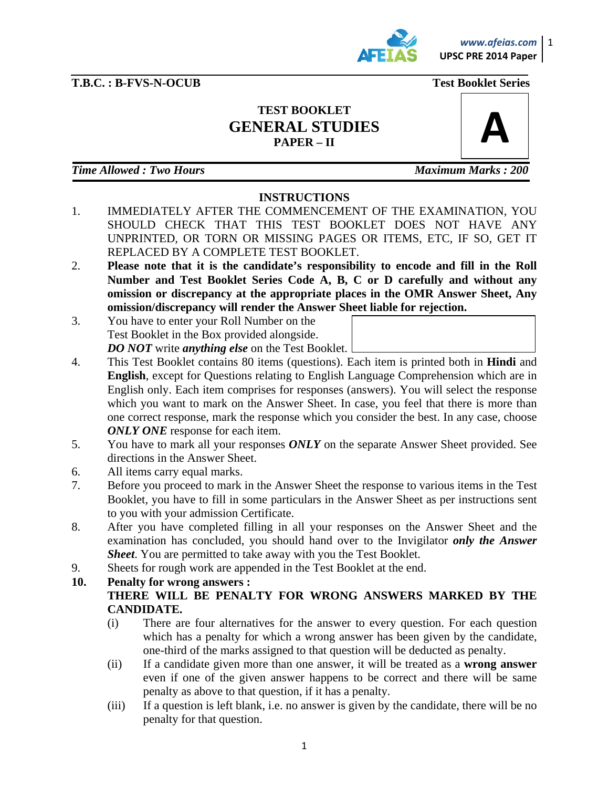

**A**

# **T.B.C. : B-FVS-N-OCUB Test Booklet Series**

# **TEST BOOKLET GENERAL STUDIES PAPER – II**

*Time Allowed : Two Hours* Maximum Marks : 200

# **INSTRUCTIONS**

- 1. IMMEDIATELY AFTER THE COMMENCEMENT OF THE EXAMINATION, YOU SHOULD CHECK THAT THIS TEST BOOKLET DOES NOT HAVE ANY UNPRINTED, OR TORN OR MISSING PAGES OR ITEMS, ETC, IF SO, GET IT REPLACED BY A COMPLETE TEST BOOKLET.
- 2. **Please note that it is the candidate's responsibility to encode and fill in the Roll Number and Test Booklet Series Code A, B, C or D carefully and without any omission or discrepancy at the appropriate places in the OMR Answer Sheet, Any omission/discrepancy will render the Answer Sheet liable for rejection.**
- 3. You have to enter your Roll Number on the Test Booklet in the Box provided alongside. *DO NOT* write *anything else* on the Test Booklet.
- 4. This Test Booklet contains 80 items (questions). Each item is printed both in **Hindi** and **English**, except for Questions relating to English Language Comprehension which are in English only. Each item comprises for responses (answers). You will select the response which you want to mark on the Answer Sheet. In case, you feel that there is more than one correct response, mark the response which you consider the best. In any case, choose *ONLY ONE* response for each item.
- 5. You have to mark all your responses *ONLY* on the separate Answer Sheet provided. See directions in the Answer Sheet.
- 6. All items carry equal marks.
- 7. Before you proceed to mark in the Answer Sheet the response to various items in the Test Booklet, you have to fill in some particulars in the Answer Sheet as per instructions sent to you with your admission Certificate.
- 8. After you have completed filling in all your responses on the Answer Sheet and the examination has concluded, you should hand over to the Invigilator *only the Answer Sheet*. You are permitted to take away with you the Test Booklet.
- 9. Sheets for rough work are appended in the Test Booklet at the end.

# **10. Penalty for wrong answers :**

# **THERE WILL BE PENALTY FOR WRONG ANSWERS MARKED BY THE CANDIDATE.**

- (i) There are four alternatives for the answer to every question. For each question which has a penalty for which a wrong answer has been given by the candidate, one-third of the marks assigned to that question will be deducted as penalty.
- (ii) If a candidate given more than one answer, it will be treated as a **wrong answer**  even if one of the given answer happens to be correct and there will be same penalty as above to that question, if it has a penalty.
- (iii) If a question is left blank, i.e. no answer is given by the candidate, there will be no penalty for that question.

1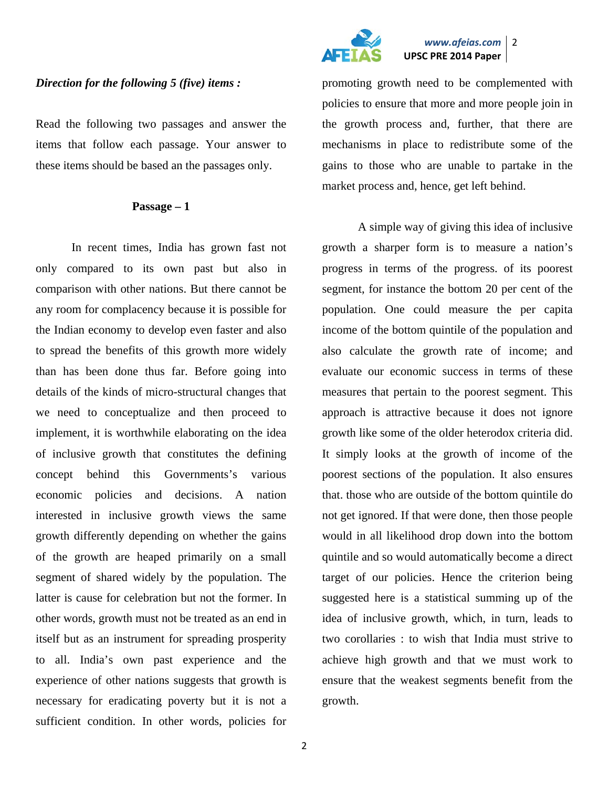### *Direction for the following 5 (five) items :*

Read the following two passages and answer the items that follow each passage. Your answer to these items should be based an the passages only.

#### **Passage – 1**

In recent times, India has grown fast not only compared to its own past but also in comparison with other nations. But there cannot be any room for complacency because it is possible for the Indian economy to develop even faster and also to spread the benefits of this growth more widely than has been done thus far. Before going into details of the kinds of micro-structural changes that we need to conceptualize and then proceed to implement, it is worthwhile elaborating on the idea of inclusive growth that constitutes the defining concept behind this Governments's various economic policies and decisions. A nation interested in inclusive growth views the same growth differently depending on whether the gains of the growth are heaped primarily on a small segment of shared widely by the population. The latter is cause for celebration but not the former. In other words, growth must not be treated as an end in itself but as an instrument for spreading prosperity to all. India's own past experience and the experience of other nations suggests that growth is necessary for eradicating poverty but it is not a sufficient condition. In other words, policies for



#### *www.afeias.com* 2 **UPSC PRE 2014 Paper**

promoting growth need to be complemented with policies to ensure that more and more people join in the growth process and, further, that there are mechanisms in place to redistribute some of the gains to those who are unable to partake in the market process and, hence, get left behind.

A simple way of giving this idea of inclusive growth a sharper form is to measure a nation's progress in terms of the progress. of its poorest segment, for instance the bottom 20 per cent of the population. One could measure the per capita income of the bottom quintile of the population and also calculate the growth rate of income; and evaluate our economic success in terms of these measures that pertain to the poorest segment. This approach is attractive because it does not ignore growth like some of the older heterodox criteria did. It simply looks at the growth of income of the poorest sections of the population. It also ensures that. those who are outside of the bottom quintile do not get ignored. If that were done, then those people would in all likelihood drop down into the bottom quintile and so would automatically become a direct target of our policies. Hence the criterion being suggested here is a statistical summing up of the idea of inclusive growth, which, in turn, leads to two corollaries : to wish that India must strive to achieve high growth and that we must work to ensure that the weakest segments benefit from the growth.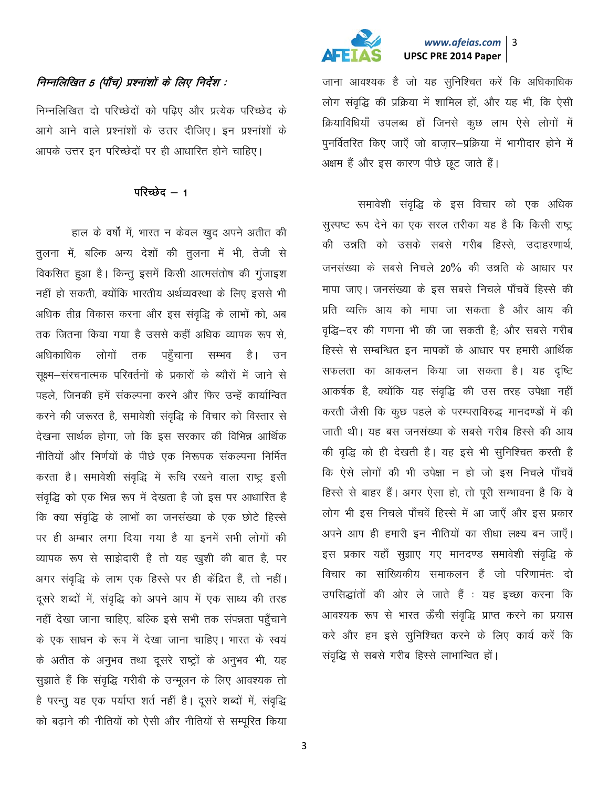

#### www.afeias.com 3 UPSC PRE 2014 Paper

जाना आवश्यक है जो यह सुनिश्चित करें कि अधिकाधिक लोग संवृद्धि की प्रक्रिया में शामिल हों, और यह भी, कि ऐसी क्रियाविधियाँ उपलब्ध हों जिनसे कुछ लाभ ऐसे लोगों में पुनर्वितरित किए जाएँ जो बाज़ार-प्रक्रिया में भागीदार होने में अक्षम हैं और इस कारण पीछे छूट जाते हैं।

समावेशी संवृद्धि के इस विचार को एक अधिक सुस्पष्ट रूप देने का एक सरल तरीका यह है कि किसी राष्ट्र की उन्नति को उसके सबसे गरीब हिस्से, उदाहरणार्थ, जनसंख्या के सबसे निचले 20% की उन्नति के आधार पर मापा जाए। जनसंख्या के इस सबसे निचले पाँचवें हिस्से की प्रति व्यक्ति आय को मापा जा सकता है और आय की वृद्धि-दर की गणना भी की जा सकती है; और सबसे गरीब हिस्से से सम्बन्धित इन मापकों के आधार पर हमारी आर्थिक सफलता का आकलन किया जा सकता है। यह दृष्टि आकर्षक है, क्योंकि यह संवृद्धि की उस तरह उपेक्षा नहीं करती जैसी कि कुछ पहले के परम्पराविरुद्ध मानदण्डों में की जाती थी। यह बस जनसंख्या के सबसे गरीब हिस्से की आय की वृद्धि को ही देखती है। यह इसे भी सुनिश्चित करती है कि ऐसे लोगों की भी उपेक्षा न हो जो इस निचले पाँचवें हिस्से से बाहर हैं। अगर ऐसा हो, तो पूरी सम्भावना है कि वे लोग भी इस निचले पाँचवें हिस्से में आ जाएँ और इस प्रकार अपने आप ही हमारी इन नीतियों का सीधा लक्ष्य बन जाएँ। इस प्रकार यहाँ सुझाए गए मानदण्ड समावेशी संवृद्धि के विचार का सांख्यिकीय समाकलन हैं जो परिणामंतः दो उपसिद्धांतों की ओर ले जाते हैं : यह इच्छा करना कि आवश्यक रूप से भारत ऊँची संवृद्धि प्राप्त करने का प्रयास करे और हम इसे सुनिश्चित करने के लिए कार्य करें कि संवृद्धि से सबसे गरीब हिस्से लाभान्वित हों।

# निम्नलिखित 5 (पाँच) प्रश्नांशों के लिए निर्देश :

निम्नलिखित दो परिच्छेदों को पढ़िए और प्रत्येक परिच्छेद के आगे आने वाले प्रश्नांशों के उत्तर दीजिए। इन प्रश्नांशों के आपके उत्तर इन परिच्छेदों पर ही आधारित होने चाहिए।

# परिच्छेद $-1$

हाल के वर्षों में, भारत न केवल खुद अपने अतीत की तूलना में, बल्कि अन्य देशों की तूलना में भी, तेजी से विकसित हुआ है। किन्तु इसमें किसी आत्मसंतोष की गुंजाइश नहीं हो सकती, क्योंकि भारतीय अर्थव्यवस्था के लिए इससे भी अधिक तीव्र विकास करना और इस संवृद्धि के लाभों को, अब तक जितना किया गया है उससे कहीं अधिक व्यापक रूप से, अधिकाधिक लोगों तक पहुँचाना सम्भव है। उन सूक्ष्म-संरचनात्मक परिवर्तनों के प्रकारों के ब्यौरों में जाने से पहले. जिनकी हमें संकल्पना करने और फिर उन्हें कार्यान्वित करने की जरूरत है, समावेशी संवृद्धि के विचार को विस्तार से देखना सार्थक होगा, जो कि इस सरकार की विभिन्न आर्थिक नीतियों और निर्णयों के पीछे एक निरूपक संकल्पना निर्मित करता है। समावेशी संवृद्धि में रूचि रखने वाला राष्ट्र इसी संवृद्धि को एक भिन्न रूप में देखता है जो इस पर आधारित है कि क्या संवृद्धि के लाभों का जनसंख्या के एक छोटे हिस्से पर ही अम्बार लगा दिया गया है या इनमें सभी लोगों की व्यापक रूप से साझेदारी है तो यह खुशी की बात है, पर अगर संवृद्धि के लाभ एक हिस्से पर ही केंद्रित हैं, तो नहीं। दूसरे शब्दों में, संवृद्धि को अपने आप में एक साध्य की तरह नहीं देखा जाना चाहिए, बल्कि इसे सभी तक संपन्नता पहँचाने के एक साधन के रूप में देखा जाना चाहिए। भारत के स्वयं के अतीत के अनुभव तथा दूसरे राष्ट्रों के अनुभव भी, यह सुझाते हैं कि संवृद्धि गरीबी के उन्मूलन के लिए आवश्यक तो है परन्तु यह एक पर्याप्त शर्त नहीं है। दूसरे शब्दों में, संवृद्धि को बढ़ाने की नीतियों को ऐसी और नीतियों से सम्पूरित किया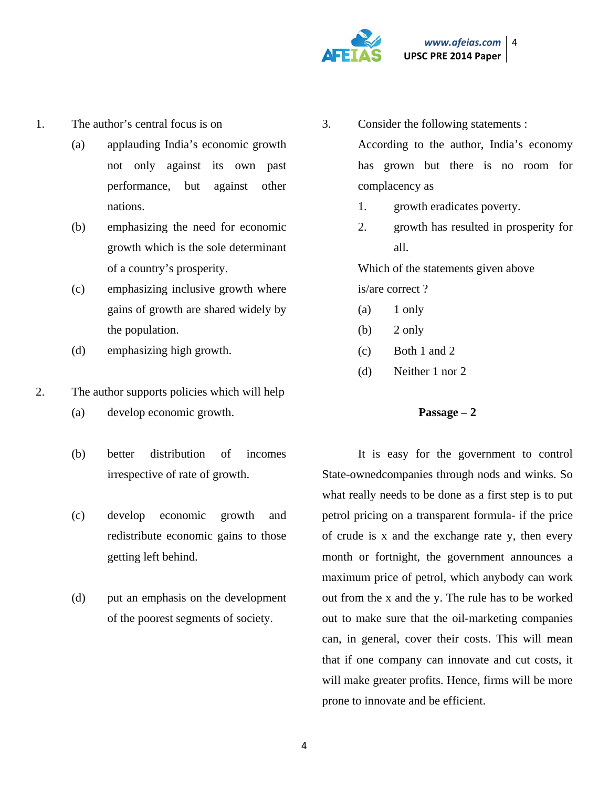

*www.afeias.com* **UPSC PRE 2014 Paper**  $\overline{4}$ 

- 1. The author's central focus is on
	- (a) applauding India's economic growth not only against its own past performance, but against other nations.
	- (b) emphasizing the need for economic growth which is the sole determinant of a country's prosperity.
	- (c) emphasizing inclusive growth where gains of growth are shared widely by the population.
	- (d) emphasizing high growth.
- 2. The author supports policies which will help
	- (a) develop economic growth.
	- (b) better distribution of incomes irrespective of rate of growth.
	- (c) develop economic growth and redistribute economic gains to those getting left behind.
	- (d) put an emphasis on the development of the poorest segments of society.
- 3. Consider the following statements : According to the author, India's economy has grown but there is no room for complacency as
	- 1. growth eradicates poverty.
	- 2. growth has resulted in prosperity for all.

Which of the statements given above is/are correct ?

- $(a)$  1 only
- $(b)$  2 only
- (c) Both 1 and 2
- (d) Neither 1 nor 2

# **Passage – 2**

It is easy for the government to control State-ownedcompanies through nods and winks. So what really needs to be done as a first step is to put petrol pricing on a transparent formula- if the price of crude is x and the exchange rate y, then every month or fortnight, the government announces a maximum price of petrol, which anybody can work out from the x and the y. The rule has to be worked out to make sure that the oil-marketing companies can, in general, cover their costs. This will mean that if one company can innovate and cut costs, it will make greater profits. Hence, firms will be more prone to innovate and be efficient.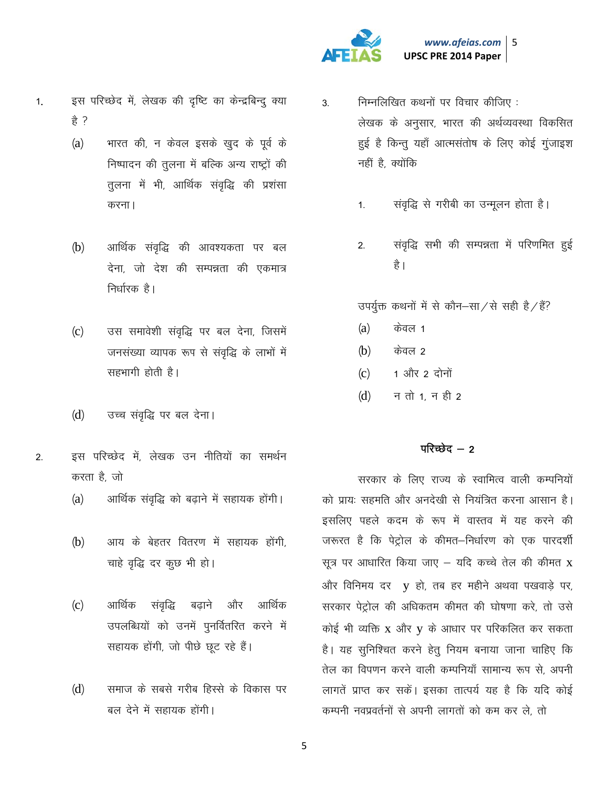

www.afeias.com | 5 **UPSC PRE 2014 Paper** 

- इस परिच्छेद में, लेखक की दृष्टि का केन्द्रबिन्दु क्या  $1.$ 숭 ?
	- भारत की, न केवल इसके खुद के पूर्व के  $(a)$ निष्पादन की तुलना में बल्कि अन्य राष्ट्रों की तुलना में भी, आर्थिक संवृद्धि की प्रशंसा करना।
	- आर्थिक संवृद्धि की आवश्यकता पर बल  $(b)$ देना, जो देश की सम्पन्नता की एकमात्र निर्धारक है।
	- उस समावेशी संवृद्धि पर बल देना, जिसमें  $(c)$ जनसंख्या व्यापक रूप से संवृद्धि के लाभों में सहभागी होती है।
	- उच्च संवृद्धि पर बल देना।  $(d)$
- इस परिच्छेद में, लेखक उन नीतियों का समर्थन  $2.$ करता है, जो
	- आर्थिक संवृद्धि को बढ़ाने में सहायक होंगी।  $(a)$
	- $(b)$ आय के बेहतर वितरण में सहायक होंगी, चाहे वृद्धि दर कुछ भी हो।
	- संवृद्धि बढ़ाने और आर्थिक  $(c)$ आर्थिक उपलब्धियों को उनमें पुनर्वितरित करने में सहायक होंगी, जो पीछे छूट रहे हैं।
	- $(d)$ समाज के सबसे गरीब हिस्से के विकास पर बल देने में सहायक होंगी।
- निम्नलिखित कथनों पर विचार कीजिए:  $3.$ लेखक के अनुसार, भारत की अर्थव्यवस्था विकसित हुई है किन्तू यहाँ आत्मसंतोष के लिए कोई गुंजाइश नहीं है, क्योंकि
	- संवृद्धि से गरीबी का उन्मूलन होता है।  $1<sub>1</sub>$
	- संवृद्धि सभी की सम्पन्नता में परिणमित हुई 2. है ।

उपर्युक्त कथनों में से कौन-सा/से सही है/हैं?

- केवल 1  $(a)$
- केवल 2  $(b)$
- 1 और 2 दोनों  $(c)$
- न तो 1, न ही 2  $(d)$

# परिच्छेद $-2$

सरकार के लिए राज्य के स्वामित्व वाली कम्पनियों को प्रायः सहमति और अनदेखी से नियंत्रित करना आसान है। इसलिए पहले कदम के रूप में वास्तव में यह करने की जरूरत है कि पेट्रोल के कीमत-निर्धारण को एक पारदर्शी सूत्र पर आधारित किया जाए - यदि कच्चे तेल की कीमत X और विनिमय दर y हो, तब हर महीने अथवा पखवाड़े पर, सरकार पेट्रोल की अधिकतम कीमत की घोषणा करे, तो उसे कोई भी व्यक्ति x और y के आधार पर परिकलित कर सकता है। यह सुनिश्चित करने हेतु नियम बनाया जाना चाहिए कि तेल का विपणन करने वाली कम्पनियाँ सामान्य रूप से, अपनी लागतें प्राप्त कर सकें। इसका तात्पर्य यह है कि यदि कोई कम्पनी नवप्रवर्तनों से अपनी लागतों को कम कर ले, तो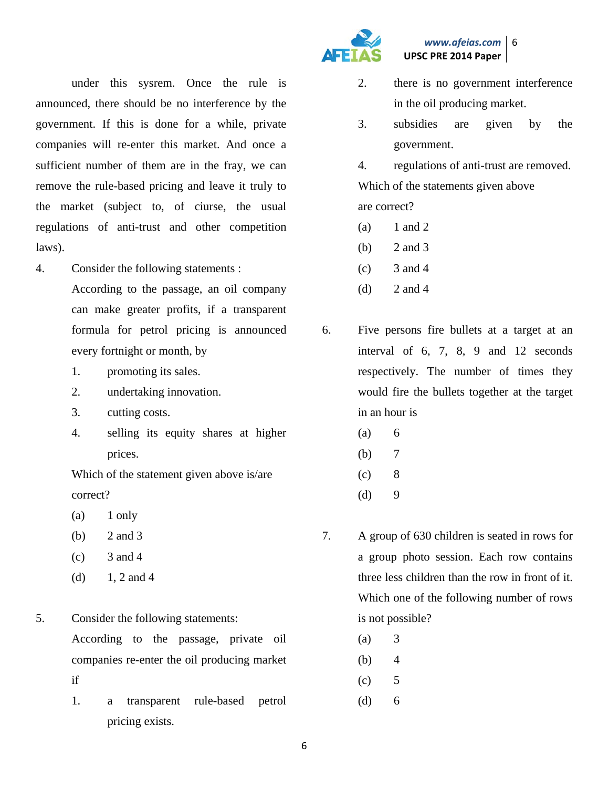

## *www.afeias.com* 6 **UPSC PRE 2014 Paper**

- under this sysrem. Once the rule is announced, there should be no interference by the government. If this is done for a while, private companies will re-enter this market. And once a sufficient number of them are in the fray, we can remove the rule-based pricing and leave it truly to the market (subject to, of ciurse, the usual regulations of anti-trust and other competition laws).
- 4. Consider the following statements : According to the passage, an oil company can make greater profits, if a transparent formula for petrol pricing is announced every fortnight or month, by
	- 1. promoting its sales.
	- 2. undertaking innovation.
	- 3. cutting costs.
	- 4. selling its equity shares at higher prices.

Which of the statement given above is/are correct?

- $(a)$  1 only
- (b) 2 and 3
- $(c)$  3 and 4
- (d)  $1, 2$  and 4
- 5. Consider the following statements:

According to the passage, private oil companies re-enter the oil producing market if

1. a transparent rule-based petrol pricing exists.

- 2. there is no government interference in the oil producing market.
- 3. subsidies are given by the government.

4. regulations of anti-trust are removed. Which of the statements given above are correct?

- $(a)$  1 and 2
- (b) 2 and 3
- $(c)$  3 and 4
- (d)  $2$  and 4
- 6. Five persons fire bullets at a target at an interval of 6, 7, 8, 9 and 12 seconds respectively. The number of times they would fire the bullets together at the target in an hour is
	- $(a) 6$
	- (b) 7
	- $(c)$  8
	- $(d)$  9
- 7. A group of 630 children is seated in rows for a group photo session. Each row contains three less children than the row in front of it. Which one of the following number of rows is not possible?
	- $(a)$  3
	- (b)  $4$
	- $\overline{c}$  5
	- $(d) 6$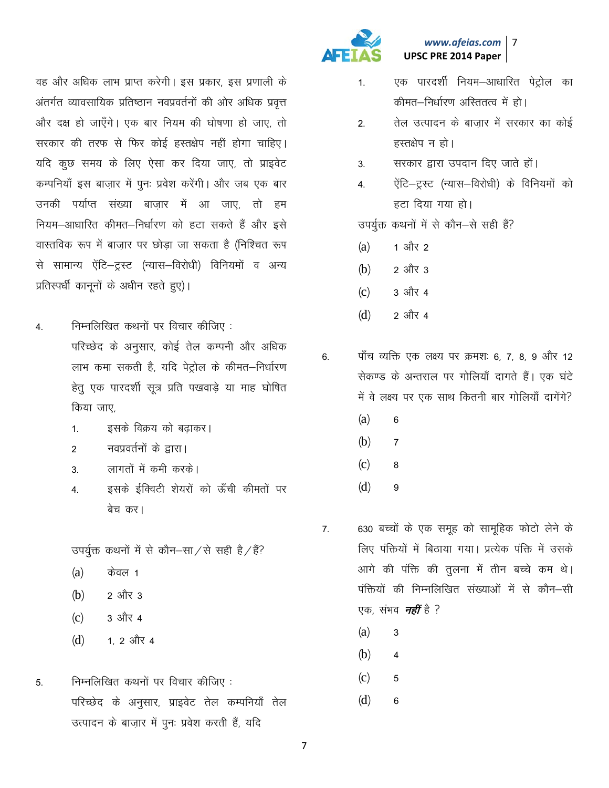

www.afeias.com 7 **UPSC PRE 2014 Paper** 

- एक पारदर्शी नियम-आधारित पेट्रोल का  $\overline{1}$ . कीमत–निर्धारण अस्तितत्व में हो।
- तेल उत्पादन के बाजार में सरकार का कोई  $2.$ हस्तक्षेप न हो।
- सरकार द्वारा उपदान दिए जाते हों। 3.
- ऐंटि-ट्रस्ट (न्यास-विरोधी) के विनियमों को  $4.$ हटा दिया गया हो।

# उपर्युक्त कथनों में से कौन-से सही हैं?

- $(a)$ 1 और 2
- $(b)$ 2 और 3
- 3 और 4  $(c)$
- 2 और 4  $(d)$

पाँच व्यक्ति एक लक्ष्य पर क्रमशः 6, 7, 8, 9 और 12 6. सेकण्ड के अन्तराल पर गोलियाँ दागते हैं। एक घंटे में वे लक्ष्य पर एक साथ कितनी बार गोलियाँ दागेंगे?

- $(a)$  $6\phantom{1}6$
- $(b)$  $\overline{7}$
- $(c)$ 8
- $(d)$  $\overline{9}$
- 630 बच्चों के एक समूह को सामूहिक फोटो लेने के 7. लिए पंक्तियों में बिठाया गया। प्रत्येक पंक्ति में उसके आगे की पंक्ति की तुलना में तीन बच्चे कम थे। पंक्तियों की निम्नलिखित संख्याओं में से कौन-सी एक, संभव *नहीं* है ?
	- $(a)$  $\overline{3}$
	- $(b)$  $\overline{\mathbf{4}}$
	- $(c)$ 5
	- $(d)$  $\,6$

वह और अधिक लाभ प्राप्त करेगी। इस प्रकार, इस प्रणाली के अंतर्गत व्यावसायिक प्रतिष्ठान नवप्रवर्तनों की ओर अधिक प्रवृत्त और दक्ष हो जाएँगे। एक बार नियम की घोषणा हो जाए, तो सरकार की तरफ से फिर कोई हस्तक्षेप नहीं होगा चाहिए। यदि कुछ समय के लिए ऐसा कर दिया जाए, तो प्राइवेट कम्पनियाँ इस बाज़ार में पुनः प्रवेश करेंगी। और जब एक बार उनकी पर्याप्त संख्या बाजार में आ जाए, तो हम नियम-आधारित कीमत-निर्धारण को हटा सकते हैं और इसे वास्तविक रूप में बाज़ार पर छोड़ा जा सकता है (निश्चित रूप से सामान्य ऐंटि-ट्रस्ट (न्यास-विरोधी) विनियमों व अन्य प्रतिस्पर्धी कानूनों के अधीन रहते हुए)।

- निम्नलिखित कथनों पर विचार कीजिए:  $4.$ परिच्छेद के अनुसार, कोई तेल कम्पनी और अधिक लाभ कमा सकती है, यदि पेट्रोल के कीमत-निर्धारण हेतु एक पारदर्शी सूत्र प्रति पखवाड़े या माह घोषित किया जाए.
	- इसके विक्रय को बढाकर।  $1.$
	- $\overline{2}$ नवप्रवर्तनों के द्वारा।
	- लागतों में कमी करके। 3.
	- इसके ईक्विटी शेयरों को ऊँची कीमतों पर  $\overline{4}$ बेच कर।

उपर्युक्त कथनों में से कौन−सा∕से सही है∕हैं?

- $(a)$ केवल 1
- 2 और 3  $(b)$
- $(c)$ 3 और 4
- 1, 2 और 4  $(d)$
- निम्नलिखित कथनों पर विचार कीजिए: 5. परिच्छेद के अनुसार, प्राइवेट तेल कम्पनियाँ तेल उत्पादन के बाज़ार में पुनः प्रवेश करती हैं, यदि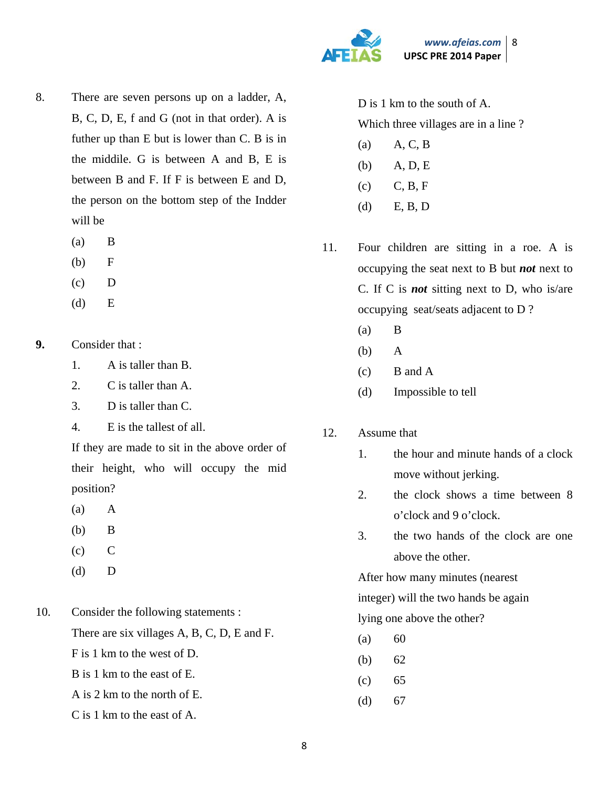

- 8. There are seven persons up on a ladder, A, B, C, D, E, f and G (not in that order). A is futher up than E but is lower than C. B is in the middile. G is between A and B, E is between B and F. If F is between E and D, the person on the bottom step of the Indder will be
	- $(a)$  B
	- (b) F
	- $(c)$  D
	- (d) E
- **9.** Consider that :
	- 1. A is taller than B.
	- 2. C is taller than A.
	- 3. D is taller than C.
	- 4. E is the tallest of all.

If they are made to sit in the above order of their height, who will occupy the mid position?

- $(a)$  A
- (b) B
- $(c)$   $C$
- (d) D

10. Consider the following statements : There are six villages A, B, C, D, E and F. F is 1 km to the west of D. B is 1 km to the east of E. A is 2 km to the north of E.

C is 1 km to the east of A.

D is 1 km to the south of A.

Which three villages are in a line ?

- (a) A, C, B
- (b) A, D, E
- $(C)$   $C, B, F$
- (d) E, B, D
- 11. Four children are sitting in a roe. A is occupying the seat next to B but *not* next to C. If C is *not* sitting next to D, who is/are occupying seat/seats adjacent to D ?
	- $(a)$  B
	- (b) A
	- (c) B and A
	- (d) Impossible to tell
- 12. Assume that
	- 1. the hour and minute hands of a clock move without jerking.
	- 2. the clock shows a time between 8 o'clock and 9 o'clock.
	- 3. the two hands of the clock are one above the other.

After how many minutes (nearest integer) will the two hands be again lying one above the other?

- $(a) 60$
- (b) 62
- $(c) 65$
- $(d)$  67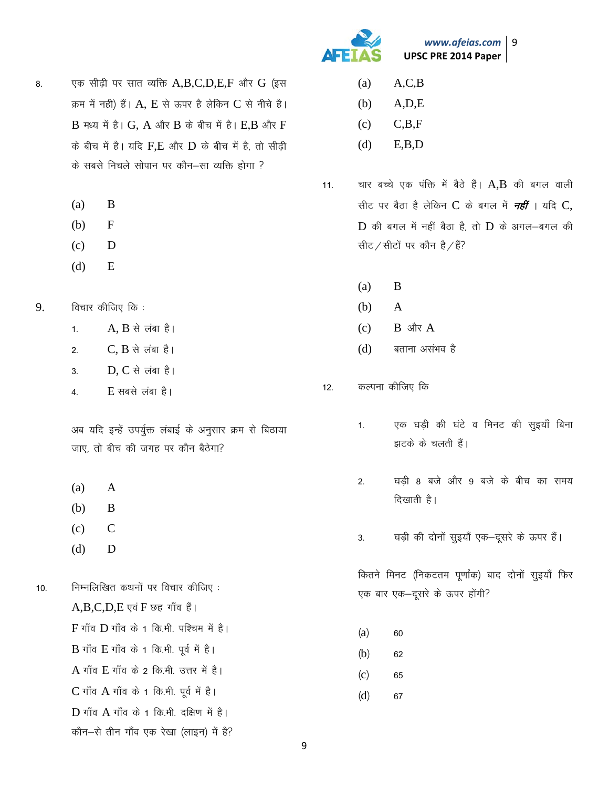

www.afeias.com | 9 **UPSC PRE 2014 Paper** 

- एक सीढ़ी पर सात व्यक्ति A,B,C,D,E,F और G (इस क्रम में नही) हैं। A, E से ऊपर है लेकिन C से नीचे है। B मध्य में है। G, A और B के बीच में है। E,B और F के बीच में है। यदि F,E और D के बीच में है, तो सीढी के सबसे निचले सोपान पर कौन–सा व्यक्ति होगा ?
	- $\bf{B}$  $(a)$

8.

- $\mathbf F$  $(b)$
- $(c)$ D
- $E$  $(d)$

9. विचार कीजिए कि :

- A,  $B \nrightarrow a$  लंबा है।  $1<sup>1</sup>$
- $C, B$  से लंबा है।  $2.$
- D, C से लंबा है। 3.
- E सबसे लंबा है।  $\overline{4}$

अब यदि इन्हें उपर्युक्त लबाई के अनुसार क्रम से बिठाया जाए, तो बीच की जगह पर कौन बैठेगा?

- $(a)$  $\mathbf{A}$
- $(b)$  $\bf{B}$
- $(c)$  $\mathbf C$
- $(d)$  $\overline{D}$
- निम्नलिखित कथनों पर विचार कीजिए:  $10.$ A,B,C,D,E एवं F छह गाँव हैं।  $F$  गाँव D गाँव के 1 कि मी पश्चिम में है। B गाँव E गाँव के 1 कि.मी. पूर्व में है। A गाँव E गाँव के 2 कि.मी. उत्तर में है। C गाँव A गाँव के 1 कि.मी. पूर्व में है।  $D$  गाँव  $A$  गाँव के 1 कि.मी. दक्षिण में है। कौन-से तीन गाँव एक रेखा (लाइन) में है?
- $A.C.B$  $(a)$
- $(b)$  $A, D, E$
- $C, B, F$  $(c)$
- $E.B.D$  $(d)$
- चार बच्चे एक पंक्ति में बैठे हैं।  $A,B$  की बगल वाली  $11.$ सीट पर बैठा है लेकिन C के बगल में *नहीं* । यदि C.  $D$  की बगल में नहीं बैठा है, तो  $D$  के अगल-बगल की सीट/सीटों पर कौन है/हैं?
	- B  $(a)$
	- $(b)$  $\mathbf{A}$
	- $(c)$  $B \nvert \nvert A$
	- बताना असंभव है (d)
- कल्पना कीजिए कि  $12.$ 
	- एक घड़ी की घंटे व मिनट की सुइयाँ बिना  $1.$ झटके के चलती हैं।
	- घडी 8 बजे और 9 बजे के बीच का समय  $2.$ दिखाती है।
	- घड़ी की दोनों सुइयाँ एक-दूसरे के ऊपर हैं। 3.

कितने मिनट (निकटतम पूर्णांक) बाद दोनों सुइयाँ फिर एक बार एक-दूसरे के ऊपर होंगी?

- $(a)$ 60
- $(b)$ 62
- $(c)$ 65
- $(d)$ 67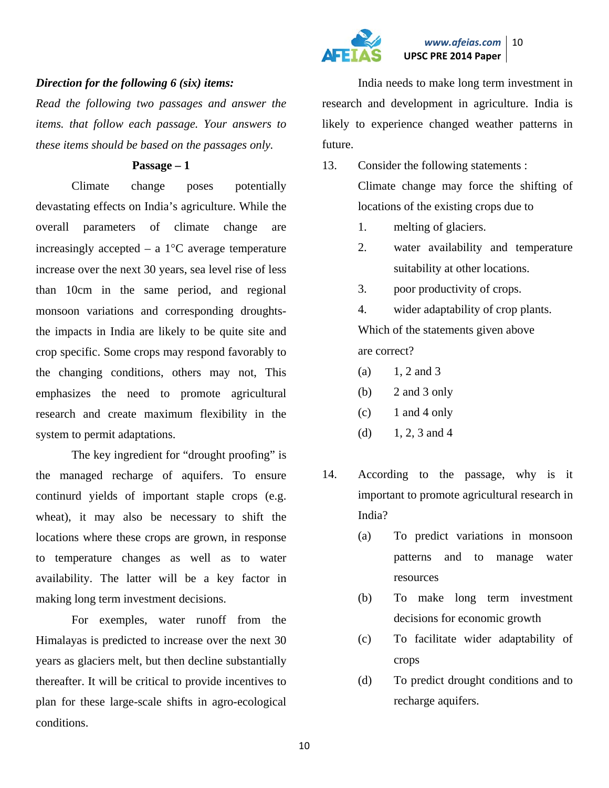

#### *www.afeias.com* 10 **UPSC PRE 2014 Paper**

### *Direction for the following 6 (six) items:*

*Read the following two passages and answer the items. that follow each passage. Your answers to these items should be based on the passages only.* 

#### **Passage – 1**

Climate change poses potentially devastating effects on India's agriculture. While the overall parameters of climate change are increasingly accepted – a  $1^{\circ}$ C average temperature increase over the next 30 years, sea level rise of less than 10cm in the same period, and regional monsoon variations and corresponding droughtsthe impacts in India are likely to be quite site and crop specific. Some crops may respond favorably to the changing conditions, others may not, This emphasizes the need to promote agricultural research and create maximum flexibility in the system to permit adaptations.

The key ingredient for "drought proofing" is the managed recharge of aquifers. To ensure continurd yields of important staple crops (e.g. wheat), it may also be necessary to shift the locations where these crops are grown, in response to temperature changes as well as to water availability. The latter will be a key factor in making long term investment decisions.

For exemples, water runoff from the Himalayas is predicted to increase over the next 30 years as glaciers melt, but then decline substantially thereafter. It will be critical to provide incentives to plan for these large-scale shifts in agro-ecological conditions.

India needs to make long term investment in research and development in agriculture. India is likely to experience changed weather patterns in future.

13. Consider the following statements :

Climate change may force the shifting of locations of the existing crops due to

- 1. melting of glaciers.
- 2. water availability and temperature suitability at other locations.
- 3. poor productivity of crops.
- 4. wider adaptability of crop plants. Which of the statements given above are correct?
- $(a)$  1, 2 and 3
- (b)  $2$  and  $3$  only
- $(c)$  1 and 4 only
- (d)  $1, 2, 3$  and 4
- 14. According to the passage, why is it important to promote agricultural research in India?
	- (a) To predict variations in monsoon patterns and to manage water resources
	- (b) To make long term investment decisions for economic growth
	- (c) To facilitate wider adaptability of crops
	- (d) To predict drought conditions and to recharge aquifers.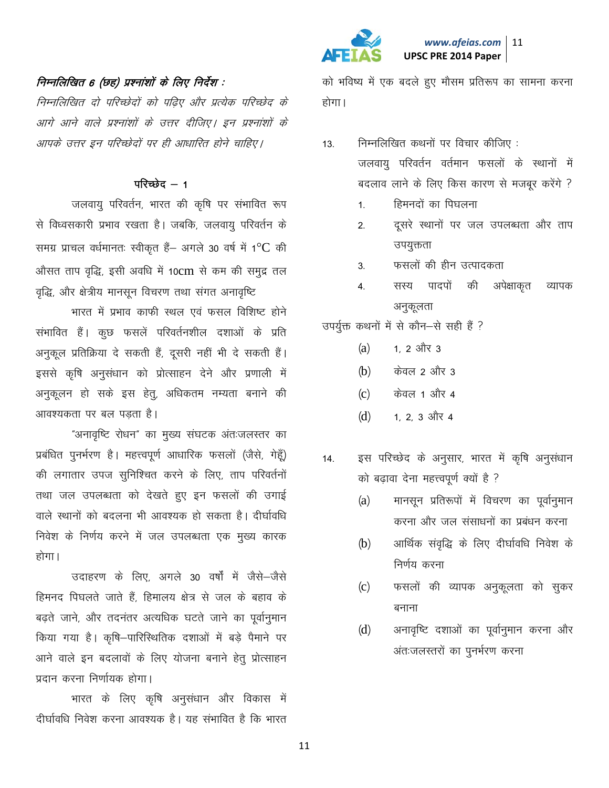

# निम्नलिखित 6 (छह) प्रश्नांशों के लिए निर्देश :

निम्नलिखित दो परिच्छेदों को पढ़िए और प्रत्येक परिच्छेद के आगे आने वाले प्रश्नांशों के उत्तर दीजिए। इन प्रश्नांशों के आपके उत्तर इन परिच्छेदों पर ही आधारित होने चाहिए।

# परिच्छेद $-1$

जलवायु परिवर्तन, भारत की कृषि पर संभावित रूप से विध्वसकारी प्रभाव रखता है। जबकि, जलवायु परिवर्तन के समग्र प्राचल वर्धमानतः स्वीकृत हैं- अगले 30 वर्ष में 1°C की औसत ताप वृद्धि, इसी अवधि में 10cm से कम की समुद्र तल वृद्धि, और क्षेत्रीय मानसून विचरण तथा संगत अनावृष्टि

भारत में प्रभाव काफी स्थल एवं फसल विशिष्ट होने संभावित हैं। कुछ फसलें परिवर्तनशील दशाओं के प्रति अनुकूल प्रतिक्रिया दे सकती हैं, दूसरी नहीं भी दे सकती हैं। इससे कृषि अनुसंधान को प्रोत्साहन देने और प्रणाली में अनुकूलन हो सके इस हेतु, अधिकतम नम्यता बनाने की आवश्यकता पर बल पडता है।

"अनावृष्टि रोधन" का मुख्य संघटक अंतःजलस्तर का प्रबंधित पुनर्भरण है। महत्त्वपूर्ण आधारिक फसलों (जैसे, गेहूँ) की लगातार उपज सुनिश्चित करने के लिए, ताप परिवर्तनों तथा जल उपलब्धता को देखते हुए इन फसलों की उगाई वाले स्थानों को बदलना भी आवश्यक हो सकता है। दीर्घावधि निवेश के निर्णय करने में जल उपलब्धता एक मुख्य कारक होगा।

उदाहरण के लिए अगले 30 वर्षों में जैसे-जैसे हिमनद पिघलते जाते हैं, हिमालय क्षेत्र से जल के बहाव के बढ़ते जाने, और तदनंतर अत्यधिक घटते जाने का पूर्वानुमान किया गया है। कृषि-पारिस्थितिक दशाओं में बड़े पैमाने पर आने वाले इन बदलावों के लिए योजना बनाने हेतू प्रोत्साहन प्रदान करना निर्णायक होगा।

भारत के लिए कृषि अनुसंधान और विकास में दीर्घावधि निवेश करना आवश्यक है। यह संभावित है कि भारत को भविष्य में एक बदले हुए मौसम प्रतिरूप का सामना करना होगा।

निम्नलिखित कथनों पर विचार कीजिए:  $13.$ 

> जलवायु परिवर्तन वर्तमान फसलों के स्थानों में बदलाव लाने के लिए किस कारण से मजबूर करेंगे ?

- हिमनदों का पिघलना  $1.$
- दूसरे स्थानों पर जल उपलब्धता और ताप  $\overline{2}$ . उपयुक्तता
- फसलों की हीन उत्पादकता 3.
- अपेक्षाकृत सस्य पादपों की व्यापक  $4.$ अनुकूलता

उपर्युक्त कथनों में से कौन-से सही हैं ?

- 1. 2 और 3  $(a)$
- केवल 2 और 3  $(b)$
- केवल 1 और 4  $(c)$
- $(d)$ 1, 2, 3 और 4
- इस परिच्छेद के अनुसार, भारत में कृषि अनुसंधान  $14.$ को बढ़ावा देना महत्त्वपूर्ण क्यों है ?
	- $(a)$ मानसून प्रतिरूपों में विचरण का पूर्वानुमान करना और जल संसाधनों का प्रबंधन करना
	- आर्थिक संवृद्धि के लिए दीर्घावधि निवेश के  $(b)$ निर्णय करना
	- फसलों की व्यापक अनुकूलता को सुकर  $(c)$ बनाना
	- अनावृष्टि दशाओं का पूर्वानुमान करना और  $(d)$ अंतःजलस्तरों का पुनर्भरण करना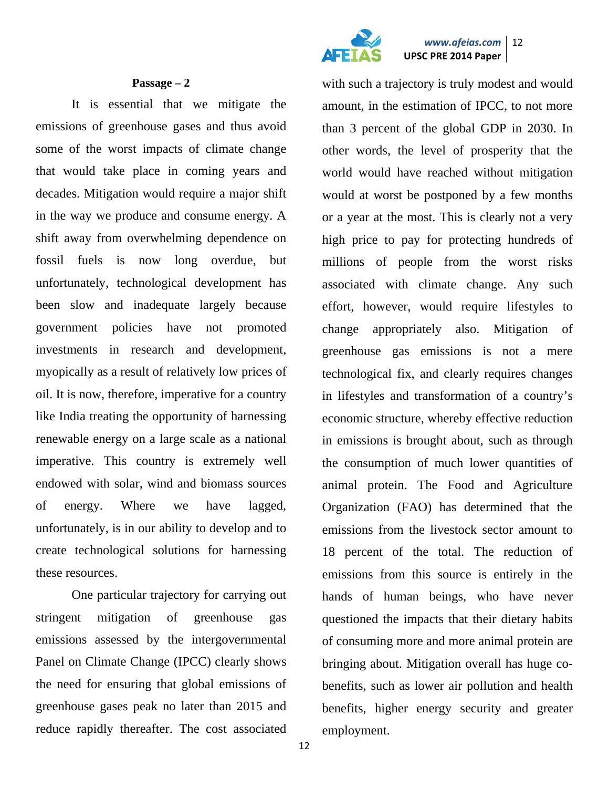

#### *www.afeias.com* 12 **UPSC PRE 2014 Paper**

## **Passage – 2**

It is essential that we mitigate the emissions of greenhouse gases and thus avoid some of the worst impacts of climate change that would take place in coming years and decades. Mitigation would require a major shift in the way we produce and consume energy. A shift away from overwhelming dependence on fossil fuels is now long overdue, but unfortunately, technological development has been slow and inadequate largely because government policies have not promoted investments in research and development, myopically as a result of relatively low prices of oil. It is now, therefore, imperative for a country like India treating the opportunity of harnessing renewable energy on a large scale as a national imperative. This country is extremely well endowed with solar, wind and biomass sources of energy. Where we have lagged, unfortunately, is in our ability to develop and to create technological solutions for harnessing these resources.

One particular trajectory for carrying out stringent mitigation of greenhouse gas emissions assessed by the intergovernmental Panel on Climate Change (IPCC) clearly shows the need for ensuring that global emissions of greenhouse gases peak no later than 2015 and reduce rapidly thereafter. The cost associated

with such a trajectory is truly modest and would amount, in the estimation of IPCC, to not more than 3 percent of the global GDP in 2030. In other words, the level of prosperity that the world would have reached without mitigation would at worst be postponed by a few months or a year at the most. This is clearly not a very high price to pay for protecting hundreds of millions of people from the worst risks associated with climate change. Any such effort, however, would require lifestyles to change appropriately also. Mitigation of greenhouse gas emissions is not a mere technological fix, and clearly requires changes in lifestyles and transformation of a country's economic structure, whereby effective reduction in emissions is brought about, such as through the consumption of much lower quantities of animal protein. The Food and Agriculture Organization (FAO) has determined that the emissions from the livestock sector amount to 18 percent of the total. The reduction of emissions from this source is entirely in the hands of human beings, who have never questioned the impacts that their dietary habits of consuming more and more animal protein are bringing about. Mitigation overall has huge cobenefits, such as lower air pollution and health benefits, higher energy security and greater employment.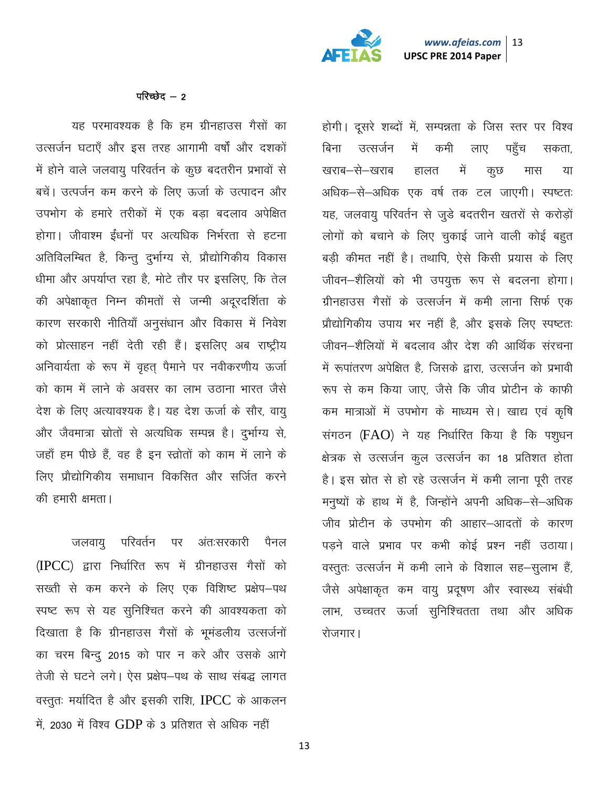

होगी। दूसरे शब्दों में, सम्पन्नता के जिस स्तर पर विश्व उत्सर्जन में कमी लाए पहुँच बिना सकता. खराब—से—खराब में कूछ मास या हालत अधिक–से–अधिक एक वर्ष तक टल जाएगी। स्पष्टतः यह, जलवायु परिवर्तन से जुडे बदतरीन खतरों से करोड़ों लोगों को बचाने के लिए चुकाई जाने वाली कोई बहुत बड़ी कीमत नहीं है। तथापि, ऐसे किसी प्रयास के लिए जीवन-शैलियों को भी उपयुक्त रूप से बदलना होगा। ग्रीनहाउस गैसों के उत्सर्जन में कमी लाना सिर्फ एक प्रौद्योगिकीय उपाय भर नहीं है, और इसके लिए स्पष्टतः जीवन–शैलियों में बदलाव और देश की आर्थिक संरचना में रूपांतरण अपेक्षित है. जिसके द्वारा. उत्सर्जन को प्रभावी रूप से कम किया जाए. जैसे कि जीव प्रोटीन के काफी कम मात्राओं में उपभोग के माध्यम से। खाद्य एवं कृषि संगठन (FAO) ने यह निर्धारित किया है कि पशुधन क्षेत्रक से उत्सर्जन कूल उत्सर्जन का 18 प्रतिशत होता है। इस स्रोत से हो रहे उत्सर्जन में कमी लाना पूरी तरह मनुष्यों के हाथ में है, जिन्होंने अपनी अधिक-से-अधिक जीव प्रोटीन के उपभोग की आहार–आदतों के कारण पड़ने वाले प्रभाव पर कभी कोई प्रश्न नहीं उठाया। वस्तूतः उत्सर्जन में कमी लाने के विशाल सह-सूलाभ हैं, जैसे अपेक्षाकृत कम वायु प्रदूषण और स्वास्थ्य संबंधी लाभ, उच्चतर ऊर्जा सुनिश्चितता तथा और अधिक रोजगार।

# परिच्छेद $-2$

यह परमावश्यक है कि हम ग्रीनहाउस गैसों का उत्सर्जन घटाएँ और इस तरह आगामी वर्षों और दशकों में होने वाले जलवायु परिवर्तन के कूछ बदतरीन प्रभावों से बचें। उत्पर्जन कम करने के लिए ऊर्जा के उत्पादन और उपभोग के हमारे तरीकों में एक बड़ा बदलाव अपेक्षित होगा। जीवाश्म ईंधनों पर अत्यधिक निर्भरता से हटना अतिविलम्बित है, किन्तु दुर्भाग्य से, प्रौद्योगिकीय विकास धीमा और अपर्याप्त रहा है, मोटे तौर पर इसलिए, कि तेल की अपेक्षाकृत निम्न कीमतों से जन्मी अदूरदर्शिता के कारण सरकारी नीतियाँ अनुसंधान और विकास में निवेश को प्रोत्साहन नहीं देती रही हैं। इसलिए अब राष्ट्रीय अनिवार्यता के रूप में वृहत पैमाने पर नवीकरणीय ऊर्जा को काम में लाने के अवसर का लाभ उठाना भारत जैसे देश के लिए अत्यावश्यक है। यह देश ऊर्जा के सौर, वाय और जैवमात्रा स्रोतों से अत्यधिक सम्पन्न है। दुर्भाग्य से, जहाँ हम पीछे हैं, वह है इन स्त्रोतों को काम में लाने के लिए प्रौद्योगिकीय समाधान विकसित और सर्जित करने की हमारी क्षमता।

जलवाय परिवर्तन पर अंतःसरकारी पैनल (IPCC) द्वारा निर्धारित रूप में ग्रीनहाउस गैसों को सख्ती से कम करने के लिए एक विशिष्ट प्रक्षेप–पथ स्पष्ट रूप से यह सुनिश्चित करने की आवश्यकता को दिखाता है कि ग्रीनहाउस गैसों के भूमंडलीय उत्सर्जनों का चरम बिन्दू 2015 को पार न करे और उसके आगे तेजी से घटने लगे। ऐस प्रक्षेप-पथ के साथ संबद्ध लागत वस्तुतः मर्यादित है और इसकी राशि, IPCC के आकलन में, 2030 में विश्व GDP के 3 प्रतिशत से अधिक नहीं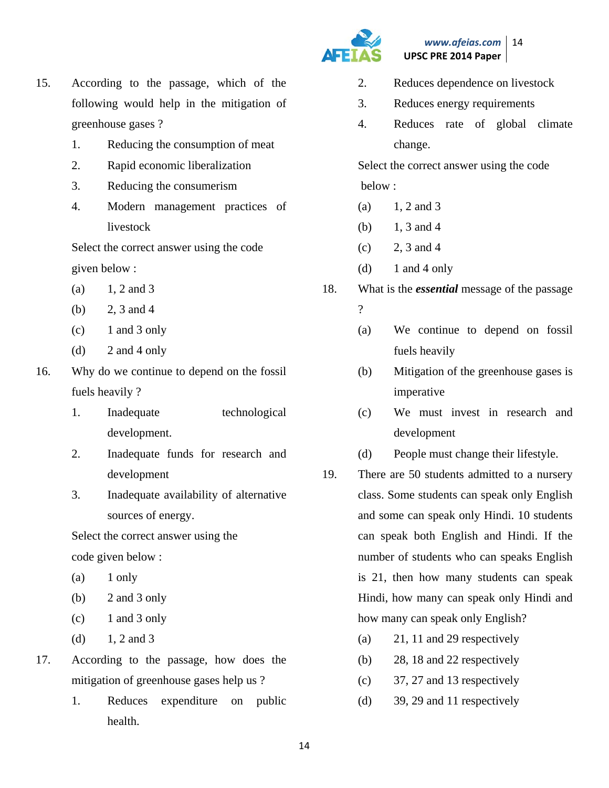

#### *www.afeias.com* **UPSC PRE 2014 Paper** 14

- 15. According to the passage, which of the following would help in the mitigation of greenhouse gases ?
	- 1. Reducing the consumption of meat
	- 2. Rapid economic liberalization
	- 3. Reducing the consumerism
	- 4. Modern management practices of livestock

Select the correct answer using the code

given below :

- (a)  $1, 2$  and 3
- (b) 2, 3 and 4
- $(c)$  1 and 3 only
- (d)  $2$  and  $4$  only
- 16. Why do we continue to depend on the fossil fuels heavily ?
	- 1. Inadequate technological development.
	- 2. Inadequate funds for research and development
	- 3. Inadequate availability of alternative sources of energy.

Select the correct answer using the code given below :

- $(a)$  1 only
- (b)  $2$  and  $3$  only
- $(c)$  1 and 3 only
- (d)  $1, 2$  and 3
- 17. According to the passage, how does the mitigation of greenhouse gases help us ?
	- 1. Reduces expenditure on public health.
- 2. Reduces dependence on livestock
- 3. Reduces energy requirements
- 4. Reduces rate of global climate change.

Select the correct answer using the code below :

- $(a)$  1, 2 and 3
- (b)  $1, 3$  and 4
- $(c)$  2, 3 and 4
- (d)  $1$  and  $4$  only
- 18. What is the *essential* message of the passage
	- ?
		- (a) We continue to depend on fossil fuels heavily
		- (b) Mitigation of the greenhouse gases is imperative
		- (c) We must invest in research and development
		- (d) People must change their lifestyle.
- 19. There are 50 students admitted to a nursery class. Some students can speak only English and some can speak only Hindi. 10 students can speak both English and Hindi. If the number of students who can speaks English is 21, then how many students can speak Hindi, how many can speak only Hindi and how many can speak only English?
	- (a) 21, 11 and 29 respectively
	- (b) 28, 18 and 22 respectively
	- (c) 37, 27 and 13 respectively
	- (d) 39, 29 and 11 respectively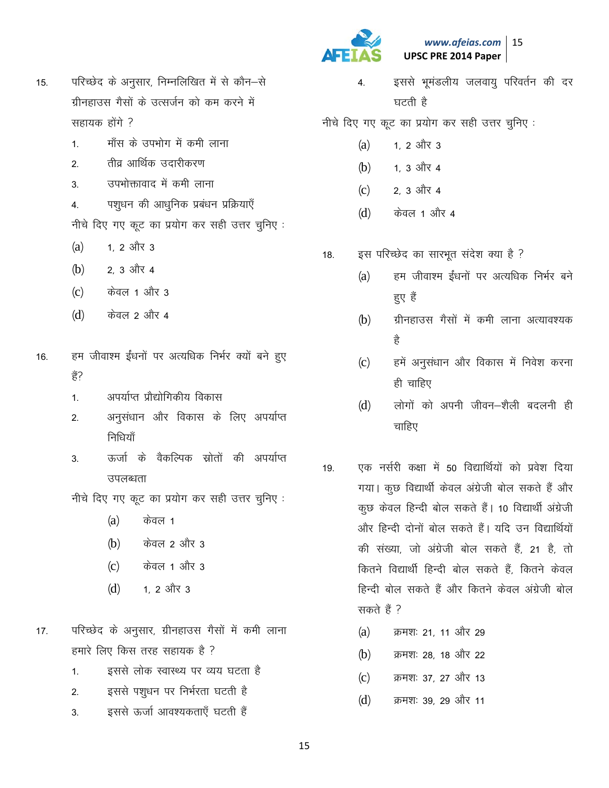

- परिच्छेद के अनुसार, निम्नलिखित में से कौन-से 15. ग्रीनहाउस गैसों के उत्सर्जन को कम करने में सहायक होंगे ?
	- माँस के उपभोग में कमी लाना  $1<sup>1</sup>$
	- तीव्र आर्थिक उदारीकरण  $2.$
	- उपभोक्तावाद में कमी लाना  $3<sup>1</sup>$
	- पशुधन की आधुनिक प्रबंधन प्रक्रियाएँ  $\overline{4}$

नीचे दिए गए कूट का प्रयोग कर सही उत्तर चुनिए:

- 1, 2 और 3  $(a)$
- 2.3 और 4  $(b)$
- $(c)$ केवल 1 और 3
- $(d)$ केवल 2 और 4
- हम जीवाश्म ईंधनों पर अत्यधिक निर्भर क्यों बने हुए 16. हैं?
	- अपर्याप्त प्रौद्योगिकीय विकास  $\mathbf{1}$
	- अनुसंधान और विकास के लिए अपर्याप्त  $2.$ निधियाँ
	- ऊर्जा के वैकल्पिक स्रोतों की अपर्याप्त  $3.$ उपलब्धता
	- नीचे दिए गए कूट का प्रयोग कर सही उत्तर चुनिए:
		- $(a)$ केवल 1
		- केवल 2 और 3  $(b)$
		- केवल 1 और 3  $(c)$
		- 1, 2 और 3  $(d)$
- परिच्छेद के अनुसार, ग्रीनहाउस गैसों में कमी लाना  $17.$ हमारे लिए किस तरह सहायक है ?
	- इससे लोक स्वास्थ्य पर व्यय घटता है  $1.$
	- इससे पशुधन पर निर्भरता घटती है  $2.$
	- इससे ऊर्जा आवश्यकताएँ घटती हैं 3.

इससे भूमंडलीय जलवायू परिवर्तन की दर  $\overline{4}$ . घटती है

नीचे दिए गए कूट का प्रयोग कर सही उत्तर चुनिए:

- 1, 2 और 3  $(a)$
- 1, 3 और 4  $(b)$
- $(c)$ 2, 3 और 4
- $(d)$ केवल 1 और 4
- इस परिच्छेद का सारभूत संदेश क्या है ? 18.
	- हम जीवाश्म ईंधनों पर अत्यधिक निर्भर बने  $(a)$ हुए हैं
	- ग्रीनहाउस गैसों में कमी लाना अत्यावश्यक  $(b)$ है
	- हमें अनुसंधान और विकास में निवेश करना  $(c)$ ही चाहिए
	- लोगों को अपनी जीवन-शैली बदलनी ही  $(d)$ चाहिए
- एक नर्सरी कक्षा में 50 विद्यार्थियों को प्रवेश दिया 19. गया। कुछ विद्यार्थी केवल अंग्रेजी बोल सकते हैं और कूछ केवल हिन्दी बोल सकते हैं। 10 विद्यार्थी अंग्रेजी और हिन्दी दोनों बोल सकते हैं। यदि उन विद्यार्थियों की संख्या, जो अंग्रेजी बोल सकते हैं, 21 है, तो कितने विद्यार्थी हिन्दी बोल सकते हैं, कितने केवल हिन्दी बोल सकते हैं और कितने केवल अंग्रेजी बोल सकते हैं ?
	- क्रमश: 21, 11 और 29  $(a)$
	- क्रमश: 28, 18 और 22  $(b)$
	- क्रमशः 37, 27 और 13  $(c)$
	- $(d)$ क्रमशः 39, 29 और 11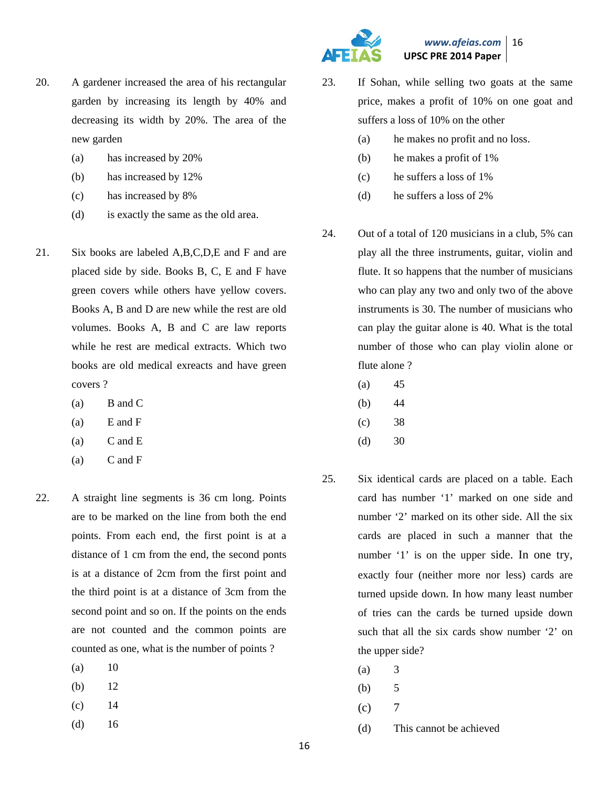

- 20. A gardener increased the area of his rectangular garden by increasing its length by 40% and decreasing its width by 20%. The area of the new garden
	- (a) has increased by 20%
	- (b) has increased by 12%
	- (c) has increased by 8%
	- (d) is exactly the same as the old area.
- 21. Six books are labeled A,B,C,D,E and F and are placed side by side. Books B, C, E and F have green covers while others have yellow covers. Books A, B and D are new while the rest are old volumes. Books A, B and C are law reports while he rest are medical extracts. Which two books are old medical exreacts and have green covers ?
	- (a) B and C
	- (a) E and F
	- (a) C and E
	- (a) C and F
- 22. A straight line segments is 36 cm long. Points are to be marked on the line from both the end points. From each end, the first point is at a distance of 1 cm from the end, the second ponts is at a distance of 2cm from the first point and the third point is at a distance of 3cm from the second point and so on. If the points on the ends are not counted and the common points are counted as one, what is the number of points ?
	- $(a)$  10
	- (b) 12
	- $(c)$  14
	- (d) 16
- 23. If Sohan, while selling two goats at the same price, makes a profit of 10% on one goat and suffers a loss of 10% on the other
	- (a) he makes no profit and no loss.
	- (b) he makes a profit of 1%
	- (c) he suffers a loss of 1%
	- (d) he suffers a loss of 2%
- 24. Out of a total of 120 musicians in a club, 5% can play all the three instruments, guitar, violin and flute. It so happens that the number of musicians who can play any two and only two of the above instruments is 30. The number of musicians who can play the guitar alone is 40. What is the total number of those who can play violin alone or flute alone ?
	- $(a)$  45
	- (b) 44
	- (c) 38
	- $(d)$  30
- 25. Six identical cards are placed on a table. Each card has number '1' marked on one side and number '2' marked on its other side. All the six cards are placed in such a manner that the number '1' is on the upper side. In one try, exactly four (neither more nor less) cards are turned upside down. In how many least number of tries can the cards be turned upside down such that all the six cards show number '2' on the upper side?
	- $(a)$  3
	- (b) 5
	- $(c)$  7
	- (d) This cannot be achieved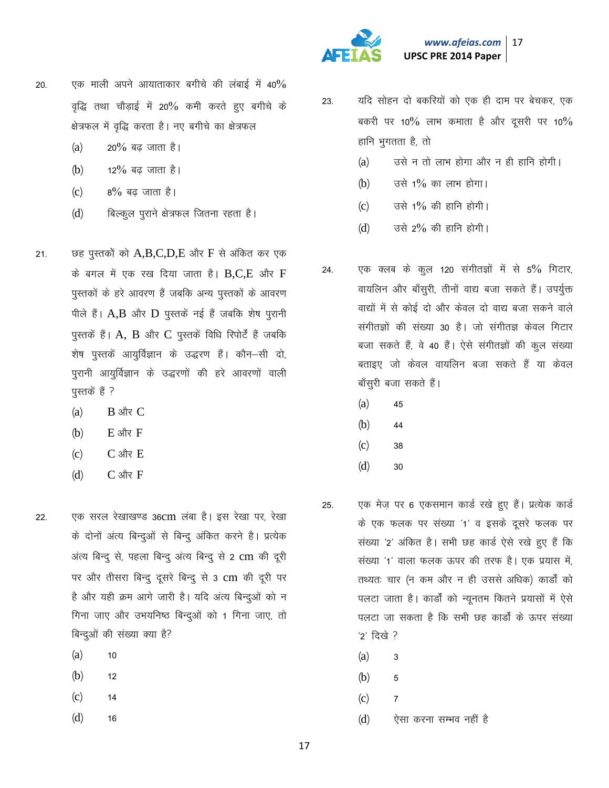

- एक माली अपने आयाताकार बगीचे की लंबाई में 40% 20. वृद्धि तथा चौड़ाई में 20% कमी करते हुए बगीचे के क्षेत्रफल में वृद्धि करता है। नए बगीचे का क्षेत्रफल
	- $20\%$  बढ़ जाता है।  $(a)$
	- $(b)$ 12% बढ जाता है।
	- $8\%$  बढ जाता है।  $(c)$
	- $(d)$ बिल्कुल पुराने क्षेत्रफल जितना रहता है।
- छह पुस्तकों को A,B,C,D,E और F से अंकित कर एक  $21.$ के बगल में एक रख दिया जाता है। B.C.E और F पुस्तकों के हरे आवरण हैं जबकि अन्य पुस्तकों के आवरण पीले हैं।  $A,B$  और  $D$  पुस्तकें नई हैं जबकि शेष पुरानी पुस्तकें हैं | A, B और C पुस्तकें विधि रिपोर्टें हैं जबकि शेष पुस्तकें आयुर्विज्ञान के उद्धरण हैं। कौन-सी दो, पुरानी आयुर्विज्ञान के उद्धरणों की हरे आवरणों वाली पुस्तकें हैं ?
	- $B \nleftrightarrow C$  $(a)$
	- $E \triangleleft \tilde{E}$  F  $(b)$
	- $C$  और  $E$  $(c)$
	- $(d)$  $C \triangleleft \dagger F$
- एक सरल रेखाखण्ड 36cm लंबा है। इस रेखा पर, रेखा 22. के दोनों अत्य बिन्दुओं से बिन्दु अंकित करने है। प्रत्येक अंत्य बिन्दु से, पहला बिन्दु अंत्य बिन्दु से 2 cm की दूरी पर और तीसरा बिन्दु दूसरे बिन्दु से 3 cm की दूरी पर है और यही क्रम आगे जारी है। यदि अंत्य बिन्दुओं को न गिना जाए और उभयनिष्ठ बिन्दुओं को 1 गिना जाए, तो बिन्दुओं की संख्या क्या है?
	- $(a)$  $10$
	- $(b)$  $12$
	- $(c)$ 14
	- $(d)$ 16
- यदि सोहन दो बकरियों को एक ही दाम पर बेचकर, एक 23. बकरी पर 10% लाभ कमाता है और दूसरी पर 10% हानि भुगतता है, तो
	- उसे न तो लाभ होगा और न ही हानि होगी।  $(a)$
	- उसे 1% का लाभ होगा।  $(b)$
	- उसे 1% की हानि होगी।  $(c)$
	- उसे 2% की हानि होगी।  $(d)$
- एक क्लब के कुल 120 संगीतज्ञों में से 5% गिटार, 24. वायलिन और बाँसूरी, तीनों वाद्य बजा सकते हैं। उपर्युक्त वाद्यों में से कोई दो और केवल दो वाद्य बजा सकने वाले सगीतज्ञों की संख्या 30 है। जो संगीतज्ञ केवल गिटार बजा सकते हैं, वे 40 हैं। ऐसे संगीतज्ञों की कुल संख्या बताइए जो केवल वायलिन बजा सकते हैं या केवल बॉसूरी बजा सकते हैं।
	- $(a)$ 45
	- $(b)$ 44
	- $(c)$ 38
	- $(d)$ 30
- एक मेज पर 6 एकसमान कार्ड रखे हुए हैं। प्रत्येक कार्ड 25. के एक फलक पर संख्या '1' व इसके दूसरे फलक पर संख्या '2' अंकित है। सभी छह कार्ड ऐसे रखे हुए हैं कि संख्या '1' वाला फलक ऊपर की तरफ है। एक प्रयास में, तथ्यतः चार (न कम और न ही उससे अधिक) कार्डों को पलटा जाता है। कार्डों को न्यूनतम कितने प्रयासों में ऐसे पलटा जा सकता है कि सभी छह कार्डों के ऊपर संख्या  $2'$  दिखे ?
	- $(a)$ 3
	- $(b)$ 5
	- $(c)$  $\overline{7}$
	- ऐसा करना सम्भव नहीं है  $(d)$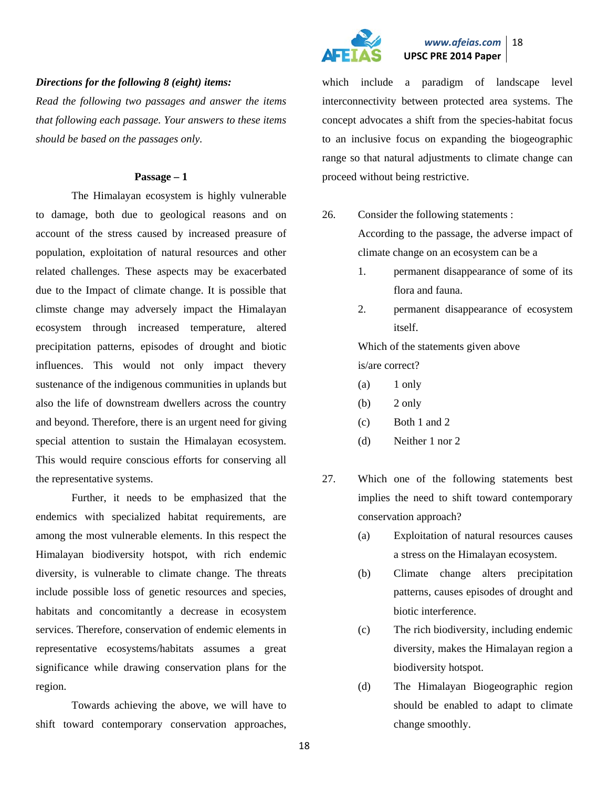

#### *www.afeias.com* 18 **UPSC PRE 2014 Paper**

#### *Directions for the following 8 (eight) items:*

*Read the following two passages and answer the items that following each passage. Your answers to these items should be based on the passages only.* 

#### **Passage – 1**

The Himalayan ecosystem is highly vulnerable to damage, both due to geological reasons and on account of the stress caused by increased preasure of population, exploitation of natural resources and other related challenges. These aspects may be exacerbated due to the Impact of climate change. It is possible that climste change may adversely impact the Himalayan ecosystem through increased temperature, altered precipitation patterns, episodes of drought and biotic influences. This would not only impact thevery sustenance of the indigenous communities in uplands but also the life of downstream dwellers across the country and beyond. Therefore, there is an urgent need for giving special attention to sustain the Himalayan ecosystem. This would require conscious efforts for conserving all the representative systems.

Further, it needs to be emphasized that the endemics with specialized habitat requirements, are among the most vulnerable elements. In this respect the Himalayan biodiversity hotspot, with rich endemic diversity, is vulnerable to climate change. The threats include possible loss of genetic resources and species, habitats and concomitantly a decrease in ecosystem services. Therefore, conservation of endemic elements in representative ecosystems/habitats assumes a great significance while drawing conservation plans for the region.

Towards achieving the above, we will have to shift toward contemporary conservation approaches,

which include a paradigm of landscape level interconnectivity between protected area systems. The concept advocates a shift from the species-habitat focus to an inclusive focus on expanding the biogeographic range so that natural adjustments to climate change can proceed without being restrictive.

26. Consider the following statements :

According to the passage, the adverse impact of climate change on an ecosystem can be a

- 1. permanent disappearance of some of its flora and fauna.
- 2. permanent disappearance of ecosystem itself.

Which of the statements given above is/are correct?

- $(a)$  1 only
- $(b)$  2 only
- (c) Both 1 and 2
- (d) Neither 1 nor 2
- 27. Which one of the following statements best implies the need to shift toward contemporary conservation approach?
	- (a) Exploitation of natural resources causes a stress on the Himalayan ecosystem.
	- (b) Climate change alters precipitation patterns, causes episodes of drought and biotic interference.
	- (c) The rich biodiversity, including endemic diversity, makes the Himalayan region a biodiversity hotspot.
	- (d) The Himalayan Biogeographic region should be enabled to adapt to climate change smoothly.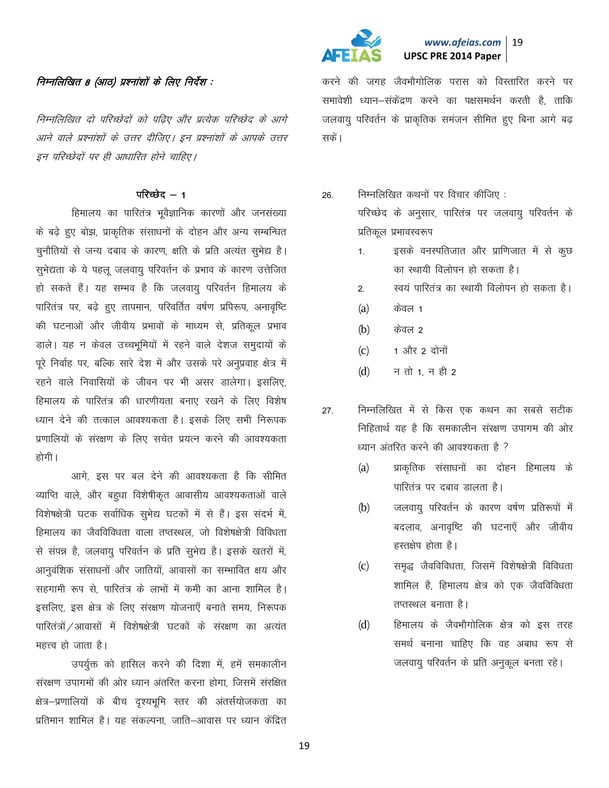

#### www.afeias.com 19 **UPSC PRE 2014 Paper**

करने की जगह जैवभौगोलिक परास को विस्तारित करने पर समावेशी ध्यान–संकेंद्रण करने का पक्षसमर्थन करती है, ताकि जलवायु परिवर्तन के प्राकृतिक समंजन सीमित हुए बिना आगे बढ़ सकें।

- निम्नलिखित कथनों पर विचार कीजिए: 26. परिच्छेद के अनुसार, पारितंत्र पर जलवायु परिवर्तन के प्रतिकूल प्रभावस्वरूप
	- इसके वनस्पतिजात और प्राणिजात में से कुछ  $1.$ का स्थायी विलोपन हो सकता है।
	- स्वयं पारितंत्र का स्थायी विलोपन हो सकता है।  $\overline{2}$ .
	- केवल 1  $(a)$
	- केवल 2  $(b)$
	- 1 और 2 दोनों  $(c)$
	- $(d)$ न तो 1, न ही 2
- निम्नलिखित में से किस एक कथन का सबसे सटीक 27. निहितार्थ यह है कि समकालीन संरक्षण उपागम की ओर ध्यान अंतरित करने की आवश्यकता है ?
	- प्राकृतिक संसाधनों का दोहन हिमालय के  $(a)$ पारितंत्र पर दबाव डालता है।
	- $(b)$ जलवायु परिवर्तन के कारण वर्षण प्रतिरूपों मे बदलाव, अनावृष्टि की घटनाएँ और जीवीय हस्तक्षेप होता है।
	- समृद्ध जैवविविधता, जिसमें विशेषक्षेत्री विविधता  $(c)$ शामिल है, हिमालय क्षेत्र को एक जैवविविधता तप्तस्थल बनाता है।
	- हिमालय के जैवभौगोलिक क्षेत्र को इस तरह  $(d)$ समर्थ बनाना चाहिए कि वह अबाध रूप से जलवायु परिवर्तन के प्रति अनुकूल बनता रहे।

# निम्नलिखित 8 (आठ) प्रश्नांशों के लिए निर्देश :

निम्नलिखित दो परिच्छेदों को पढिए और प्रत्येक परिच्छेद के आगे आने वाले प्रश्नांशों के उत्तर दीजिए। इन प्रश्नांशों के आपके उत्तर इन परिच्छेदों पर ही आधारित होने चाहिए।

#### परिच्छेद $-1$

हिमालय का पारितंत्र भूवैज्ञानिक कारणों और जनसंख्या के बढ़े हुए बोझ, प्राकृतिक संसाधनों के दोहन और अन्य सम्बन्धित चुनौतियों से जन्य दबाव के कारण, क्षति के प्रति अत्यंत सुभेद्य है। सुभेद्यता के ये पहलू जलवायु परिवर्तन के प्रभाव के कारण उत्तेजित हो सकते हैं। यह सम्भव है कि जलवायू परिवर्तन हिमालय के पारितंत्र पर, बढ़े हुए तापमान, परिवर्तित वर्षण प्रपिरूप, अनावृष्टि की घटनाओं और जीवीय प्रभावों के माध्यम से, प्रतिकूल प्रभाव डाले। यह न केवल उच्चभूमियों में रहने वाले देशज समुदायों के पूरे निर्वाह पर, बल्कि सारे देश में और उसके परे अनुप्रवाह क्षेत्र में रहने वाले निवासियों के जीवन पर भी असर डालेगा। इसलिए, हिमालय के पारितंत्र की धारणीयता बनाए रखने के लिए विशेष ध्यान देने की तत्काल आवश्यकता है। इसके लिए सभी निरूपक प्रणालियों के संरक्षण के लिए सचेत प्रयत्न करने की आवश्यकता होगी।

आगे, इस पर बल देने की आवश्यकता है कि सीमित व्याप्ति वाले, और बह्धा विशेषीकृत आवासीय आवश्यकताओं वाले विशेषक्षेत्री घटक सर्वाधिक सुभेद्य घटकों में से हैं। इस संदर्भ में, हिमालय का जैवविविधता वाला तप्तस्थल, जो विशेषक्षेत्री विविधता से संपन्न है, जलवायु परिवर्तन के प्रति सुभेद्य है। इसके खतरों में, आनुवंशिक संसाधनों और जातियों, आवासों का सम्भावित क्षय और सहगामी रूप से. पारितंत्र के लाभों में कमी का आना शामिल है। इसलिए, इस क्षेत्र के लिए संरक्षण योजनाएँ बनाते समय, निरूपक पारितंत्रों / आवासों में विशेषक्षेत्री घटकों के संरक्षण का अत्यंत महत्त्व हो जाता है।

उपर्युक्त को हासिल करने की दिशा में, हमें समकालीन संरक्षण उपागमों की ओर ध्यान अंतरित करना होगा, जिसमें संरक्षित क्षेत्र–प्रणालियों के बीच दृश्यभुमि स्तर की अंतर्संयोजकता का प्रतिमान शामिल है। यह संकल्पना, जाति–आवास पर ध्यान केंद्रित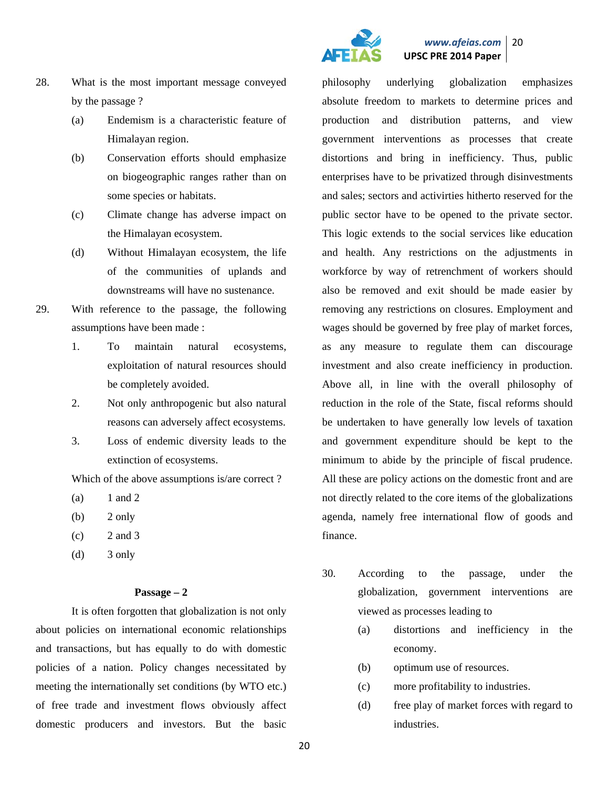

#### *www.afeias.com* **UPSC PRE 2014 Paper** 20

28. What is the most important message conveyed by the passage ?

- (a) Endemism is a characteristic feature of Himalayan region.
- (b) Conservation efforts should emphasize on biogeographic ranges rather than on some species or habitats.
- (c) Climate change has adverse impact on the Himalayan ecosystem.
- (d) Without Himalayan ecosystem, the life of the communities of uplands and downstreams will have no sustenance.
- 29. With reference to the passage, the following assumptions have been made :
	- 1. To maintain natural ecosystems, exploitation of natural resources should be completely avoided.
	- 2. Not only anthropogenic but also natural reasons can adversely affect ecosystems.
	- 3. Loss of endemic diversity leads to the extinction of ecosystems.

Which of the above assumptions is/are correct ?

- $(a)$  1 and 2
- $(b)$  2 only
- $(c)$  2 and 3
- $(d)$  3 only

#### **Passage – 2**

It is often forgotten that globalization is not only about policies on international economic relationships and transactions, but has equally to do with domestic policies of a nation. Policy changes necessitated by meeting the internationally set conditions (by WTO etc.) of free trade and investment flows obviously affect domestic producers and investors. But the basic

philosophy underlying globalization emphasizes absolute freedom to markets to determine prices and production and distribution patterns, and view government interventions as processes that create distortions and bring in inefficiency. Thus, public enterprises have to be privatized through disinvestments and sales; sectors and activirties hitherto reserved for the public sector have to be opened to the private sector. This logic extends to the social services like education and health. Any restrictions on the adjustments in workforce by way of retrenchment of workers should also be removed and exit should be made easier by removing any restrictions on closures. Employment and wages should be governed by free play of market forces, as any measure to regulate them can discourage investment and also create inefficiency in production. Above all, in line with the overall philosophy of reduction in the role of the State, fiscal reforms should be undertaken to have generally low levels of taxation and government expenditure should be kept to the minimum to abide by the principle of fiscal prudence. All these are policy actions on the domestic front and are not directly related to the core items of the globalizations agenda, namely free international flow of goods and finance.

- 30. According to the passage, under the globalization, government interventions are viewed as processes leading to
	- (a) distortions and inefficiency in the economy.
	- (b) optimum use of resources.
	- (c) more profitability to industries.
	- (d) free play of market forces with regard to industries.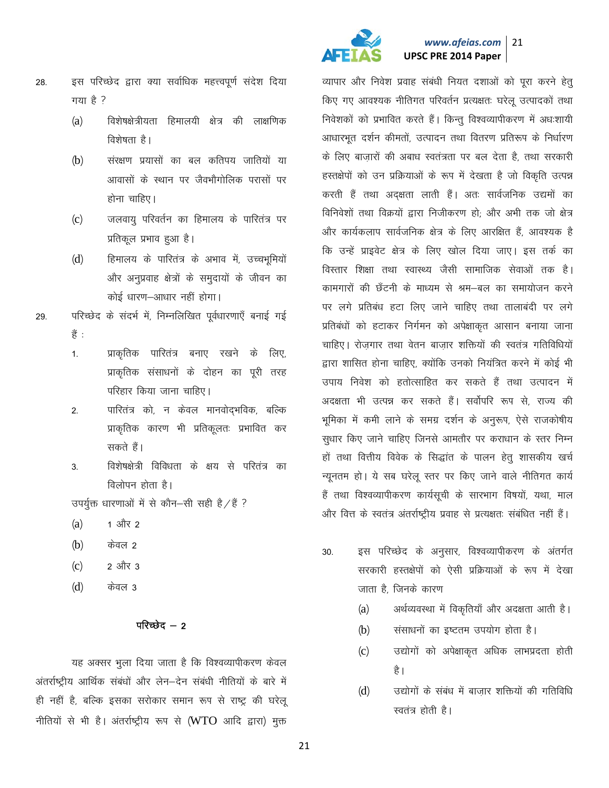

#### www.afeias.com 21 UPSC PRE 2014 Paper

व्यापार और निवेश प्रवाह संबंधी नियत दशाओं को पूरा करने हेतू किए गए आवश्यक नीतिगत परिवर्तन प्रत्यक्षतः घरेलू उत्पादकों तथा निवेशकों को प्रभावित करते हैं। किन्तु विश्वव्यापीकरण में अधःशायी आधारभूत दर्शन कीमतों, उत्पादन तथा वितरण प्रतिरूप के निर्धारण के लिए बाजारों की अबाध स्वतंत्रता पर बल देता है, तथा सरकारी हस्तक्षेपों को उन प्रक्रियाओं के रूप में देखता है जो विकृति उत्पन्न करती हैं तथा अदृक्षता लाती हैं। अतः सार्वजनिक उद्यमों का विनिवेशों तथा विक्रयों द्वारा निजीकरण हो; और अभी तक जो क्षेत्र और कार्यकलाप सार्वजनिक क्षेत्र के लिए आरक्षित हैं. आवश्यक है कि उन्हें प्राइवेट क्षेत्र के लिए खोल दिया जाए। इस तर्क का विस्तार शिक्षा तथा स्वास्थ्य जैसी सामाजिक सेवाओं तक है। कामगारों की छँटनी के माध्यम से श्रम-बल का समायोजन करने पर लगे प्रतिबंध हटा लिए जाने चाहिए तथा तालाबंदी पर लगे प्रतिबंधों को हटाकर निर्गमन को अपेक्षाकृत आसान बनाया जाना चाहिए। रोजगार तथा वेतन बाज़ार शक्तियों की स्वतंत्र गतिविधियों द्वारा शासित होना चाहिए, क्योंकि उनको नियंत्रित करने में कोई भी उपाय निवेश को हतोत्साहित कर सकते हैं तथा उत्पादन में अदक्षता भी उत्पन्न कर सकते हैं। सर्वोपरि रूप से. राज्य की भूमिका में कमी लाने के समग्र दर्शन के अनुरूप, ऐसे राजकोषीय सूधार किए जाने चाहिए जिनसे आमतौर पर कराधान के स्तर निम्न हों तथा वित्तीय विवेक के सिद्धांत के पालन हेतु शासकीय खर्च न्यूनतम हो। ये सब घरेलू स्तर पर किए जाने वाले नीतिगत कार्य हैं तथा विश्वव्यापीकरण कार्यसूची के सारभाग विषयों, यथा, माल और वित्त के स्वतंत्र अंतर्राष्ट्रीय प्रवाह से प्रत्यक्षतः संबंधित नहीं हैं।

- इस परिच्छेद के अनुसार, विश्वव्यापीकरण के अंतर्गत 30. सरकारी हस्तक्षेपों को ऐसी प्रक्रियाओं के रूप में देखा जाता है. जिनके कारण
	- अर्थव्यवस्था में विकृतियाँ और अदक्षता आती है।  $(a)$
	- संसाधनों का इष्टतम उपयोग होता है।  $(b)$
	- उद्योगों को अपेक्षाकृत अधिक लाभप्रदता होती  $(c)$ है ।
	- उद्योगों के संबंध में बाजार शक्तियों की गतिविधि  $(d)$ स्वतंत्र होती है।

इस परिच्छेद द्वारा क्या सर्वाधिक महत्त्वपूर्ण संदेश दिया 28. गया है ?

- विशेषक्षेत्रीयता हिमालयी क्षेत्र की लाक्षणिक  $(a)$ विशेषता है।
- संरक्षण प्रयासों का बल कतिपय जातियों या  $(b)$ आवासों के स्थान पर जैवभौगोलिक परासों पर होना चाहिए।
- जलवायू परिवर्तन का हिमालय के पारितंत्र पर  $(c)$ प्रतिकूल प्रभाव हुआ है।
- हिमालय के पारितंत्र के अभाव में, उच्चभूमियों  $(d)$ और अनुप्रवाह क्षेत्रों के समुदायों के जीवन का कोई धारण-आधार नहीं होगा।
- परिच्छेद के संदर्भ में, निम्नलिखित पूर्वधारणाएँ बनाई गई  $29$ 쑭.
	- प्राकृतिक पारितंत्र बनाए रखने के लिए,  $1.$ प्राकृतिक संसाधनों के दोहन का पूरी तरह परिहार किया जाना चाहिए।
	- पारितंत्र को, न केवल मानवोद्भविक, बल्कि  $2.$ प्राकृतिक कारण भी प्रतिकूलतः प्रभावित कर सकते हैं।
	- विशेषक्षेत्री विविधता के क्षय से परितंत्र का 3. विलोपन होता है।

उपर्युक्त धारणाओं में से कौन-सी सही है/हैं ?

- 1 और 2  $(a)$
- $(b)$ केवल २
- $(c)$ 2 और 3
- $(d)$ केवल 3

#### परिच्छेद $-2$

यह अक्सर भूला दिया जाता है कि विश्वव्यापीकरण केवल अंतर्राष्ट्रीय आर्थिक संबंधों और लेन-देन संबंधी नीतियों के बारे में ही नहीं है, बल्कि इसका सरोकार समान रूप से राष्ट्र की घरेलू नीतियों से भी है। अंतर्राष्ट्रीय रूप से (WTO आदि द्वारा) मुक्त

21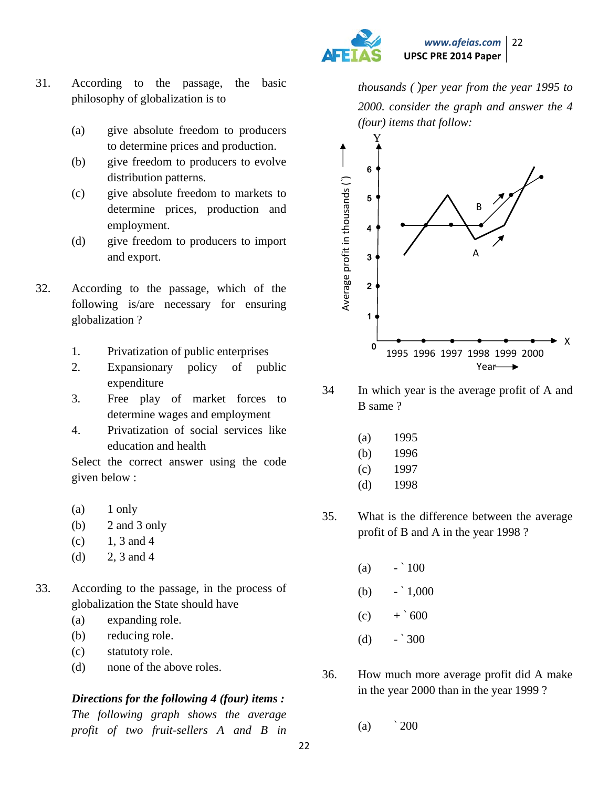

# 31. According to the passage, the basic philosophy of globalization is to

- (a) give absolute freedom to producers to determine prices and production.
- (b) give freedom to producers to evolve distribution patterns.
- (c) give absolute freedom to markets to determine prices, production and employment.
- (d) give freedom to producers to import and export.
- 32. According to the passage, which of the following is/are necessary for ensuring globalization ?
	- 1. Privatization of public enterprises
	- 2. Expansionary policy of public expenditure
	- 3. Free play of market forces to determine wages and employment
	- 4. Privatization of social services like education and health

Select the correct answer using the code given below :

- $(a)$  1 only
- (b) 2 and 3 only
- $(c)$  1, 3 and 4
- (d) 2, 3 and 4
- 33. According to the passage, in the process of globalization the State should have
	- (a) expanding role.
	- (b) reducing role.
	- (c) statutoty role.
	- (d) none of the above roles.

# *Directions for the following 4 (four) items :*

*The following graph shows the average profit of two fruit-sellers A and B in*  *thousands (*`*)per year from the year 1995 to 2000. consider the graph and answer the 4 (four) items that follow:* 





- (a) 1995
- (b) 1996
- (c) 1997
- (d) 1998
- 35. What is the difference between the average profit of B and A in the year 1998 ?
	- $(a)$   $100$
	- (b)  $-$  1,000
	- (c)  $+$  600
	- (d)  $-$  300
- 36. How much more average profit did A make in the year 2000 than in the year 1999 ?
	- (a)  $\dot{200}$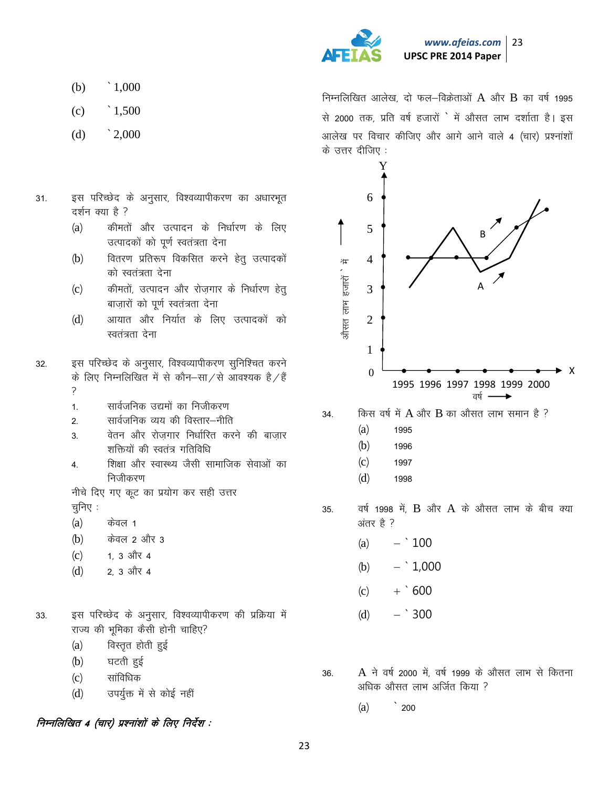

निम्नलिखित आलेख, दो फल-विक्रेताओं  $A$  और  $B$  का वर्ष 1995 से 2000 तक, प्रति वर्ष हजारों ` में औसत लाभ दर्शाता है। इस आलेख पर विचार कीजिए और आगे आने वाले 4 (चार) प्रश्नांशों के उत्तर दीजिए :



 $34.$  किस वर्ष में  $\bf A$  और  $\bf B$  का औसत लाभ समान है ?

- $(a)$  1995
- $(b)$  1996
- $(c)$  1997
- $(d)$  1998

35. वर्ष 1998 में, B और A के औसत लाभ के बीच क्या  $\sin \pi \approx 2$ 

- (a)  $-$  100
- (b)  $-$  1,000
- (c)  $+$  600
- (d)  $-$  300
- $36.$  A ने वर्ष 2000 में, वर्ष 1999 के ओसत लाभ से कितना अधिक औसत लाभ अर्जित किया ?
	- $(a)$  200

(b)  $\dot{1,000}$ 

 $(c)$  1,500

- (d)  $\dot{2,000}$
- 31. हस परिच्छेद के अनुसार, विश्वव्यापीकरण का अधारभुत दर्शन क्या है ?
	- (a) कीमतों और उत्पादन के निर्धारण के लिए उत्पादकों को पूर्ण स्वतंत्रता देना
	- (b) वितरण प्रतिरूप विकसित करने हेतु उत्पादकों को स्वतंत्रता देना
	- (c) कीमतों, उत्पादन और रोजगार के निर्धारण हेतू बाजारों को पूर्ण स्वतंत्रता देना
	- (d) आयात और निर्यात के लिए उत्पादकों को स्वतंत्रता देना
- 32. हस परिच्छेद के अनुसार, विश्वव्यापीकरण सुनिश्चित करने के लिए निम्नलिखित में से कौन–सा/से आवश्यक है/हैं  $\mathcal{P}$ 
	- 1. सार्वजनिक उद्यमों का निजीकरण
	- 2. सार्वजनिक व्यय की विस्तार-नीति
	- 3. वेतन और रोजगार निर्धारित करने की बाजार शक्तियों की स्वतंत्र गतिविधि
	- 4. शिक्षा और स्वास्थ्य जैसी सामाजिक सेवाओं का निजीकरण

नीचे दिए गए कूट का प्रयोग कर सही उत्तर चुनिए $:$ 

- $(a)$  केवल 1
- $(b)$  केवल 2 और 3
- $(c)$  1, 3 और 4
- $(d)$  2, 3 और 4
- 33. हस परिच्छेद के अनुसार, विश्वव्यापीकरण की प्रक्रिया में राज्य की भूमिका कैसी होनी चाहिए?
	- $(a)$  विस्तृत होती हुई
	- $(b)$  घटती हुई
	- (c) सांविधिक
	- (d) उपर्युक्त में से कोई नहीं

# <u>निम्नलिखित 4 (चार) प्रश्नांशों के लिए निर्देश :</u>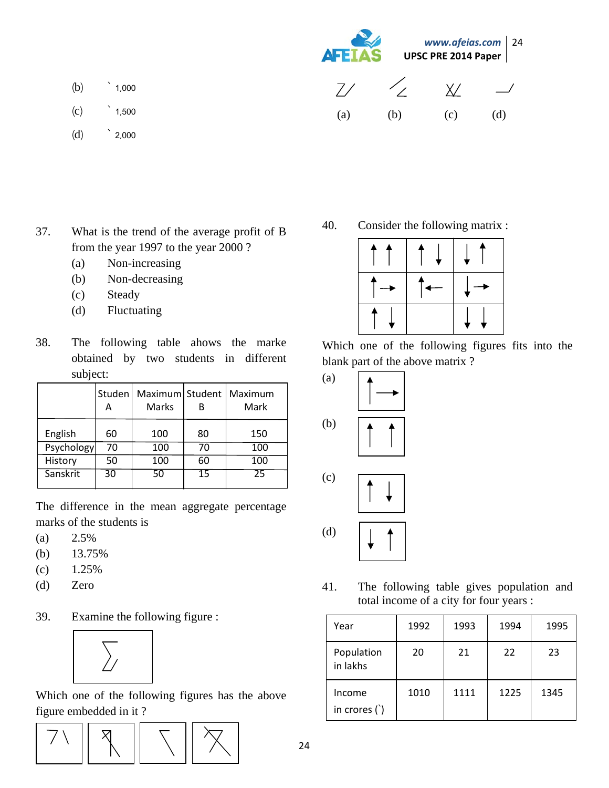| (b) | 1,000 |
|-----|-------|
| (c) | 1.500 |
| (d) | 2,000 |



- 37. What is the trend of the average profit of B from the year 1997 to the year 2000 ?
	- (a) Non-increasing
	- (b) Non-decreasing
	- (c) Steady
	- (d) Fluctuating
- 38. The following table ahows the marke obtained by two students in different subject:

|            | Studen | Maximum Student   Maximum<br>Marks |    | Mark |
|------------|--------|------------------------------------|----|------|
| English    | 60     | 100                                | 80 | 150  |
| Psychology | 70     | 100                                | 70 | 100  |
| History    | 50     | 100                                | 60 | 100  |
| Sanskrit   | 30     | 50                                 | 15 | 25   |

The difference in the mean aggregate percentage marks of the students is

- $(a)$  2.5%
- (b) 13.75%
- $(c)$  1.25%
- (d) Zero
- 39. Examine the following figure :



Which one of the following figures has the above figure embedded in it ?



40. Consider the following matrix :



Which one of the following figures fits into the blank part of the above matrix ?



41. The following table gives population and total income of a city for four years :

| Year                     | 1992 | 1993 | 1994 | 1995 |
|--------------------------|------|------|------|------|
| Population<br>in lakhs   | 20   | 21   | 22   | 23   |
| Income<br>in crores $()$ | 1010 | 1111 | 1225 | 1345 |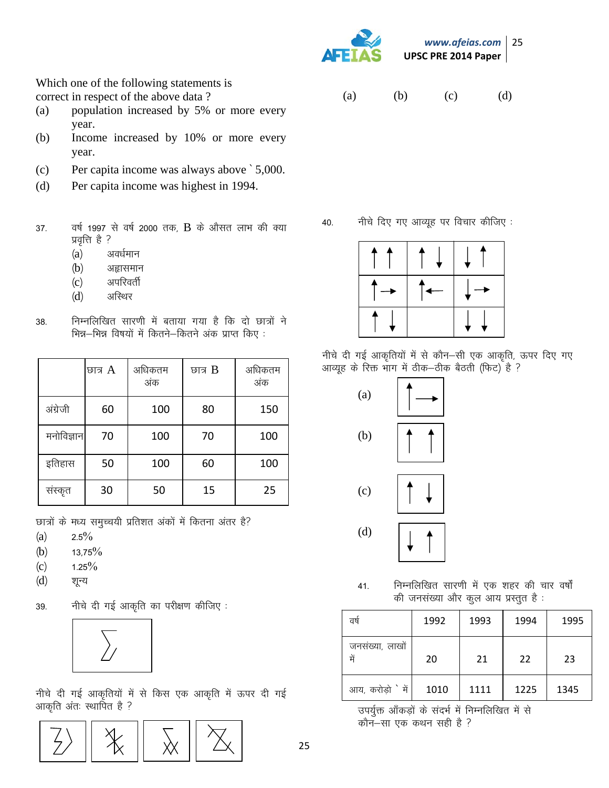

*www.afeias.com* 25 **UPSC PRE 2014 Paper**

Which one of the following statements is correct in respect of the above data ?

- (a) population increased by 5% or more every year.
- (b) Income increased by 10% or more every year.
- (c) Per capita income was always above ` 5,000.
- (d) Per capita income was highest in 1994.
- 37. वर्ष 1997 से वर्ष 2000 तक. B के औसत लाभ की क्या प्रवृत्ति है ?
	- $(a)$  अवर्धमान
	- $(b)$  अहासमान
	- (c) अपरिवर्ती
	- $(d)$  अस्थिर
- 38. निम्नलिखित सारणी में बताया गया है कि दो छात्रों ने भिन्न-भिन्न विषयों में कितने-कितने अंक प्राप्त किए:

|            | छात्र ${\rm A}$ | अधिकतम<br>अंक | ডাत्र B | अधिकतम<br>अंक |
|------------|-----------------|---------------|---------|---------------|
| अंग्रेजी   | 60              | 100           | 80      | 150           |
| मनोविज्ञान | 70              | 100           | 70      | 100           |
| इतिहास     | 50              | 100           | 60      | 100           |
| संस्कृत    | 30              | 50            | 15      | 25            |

छात्रों के मध्य समुच्चयी प्रतिशत अंकों में कितना अंतर है?

- (a)  $2.5\%$
- (b)  $13.75\%$
- (c)  $1.25\%$
- (d) शन्य
- 39. नीचे दी गई आकृति का परीक्षण कीजिए:



नीचे दी गई आकृतियों में से किस एक आकृति में ऊपर दी गई आकृति अंतः स्थापित है ?



(a) (b) (c) (d)

40- uhps fn, x, vkO;wg ij fopkj dhft, %



नीचे दी गई आकृतियों में से कौन–सी एक आकृति, ऊपर दिए गए आव्यूह के रिक्त भाग में ठीक–ठीक बैठती (फिट) है ?



41. – निम्नलिखित सारणी में एक शहर की चार वर्षों की जनसंख्या और कूल आय प्रस्तुत है:

| वर्ष                   | 1992 | 1993 | 1994 | 1995 |
|------------------------|------|------|------|------|
| जनसंख्या, लाखों<br>में | 20   | 21   | 22   | 23   |
| आय, करोड़ो ` में       | 1010 | 1111 | 1225 | 1345 |

उपर्युक्त आँकड़ों के सदर्भ में निम्नलिखित में से कौन $-$ सा एक कथन सही है ?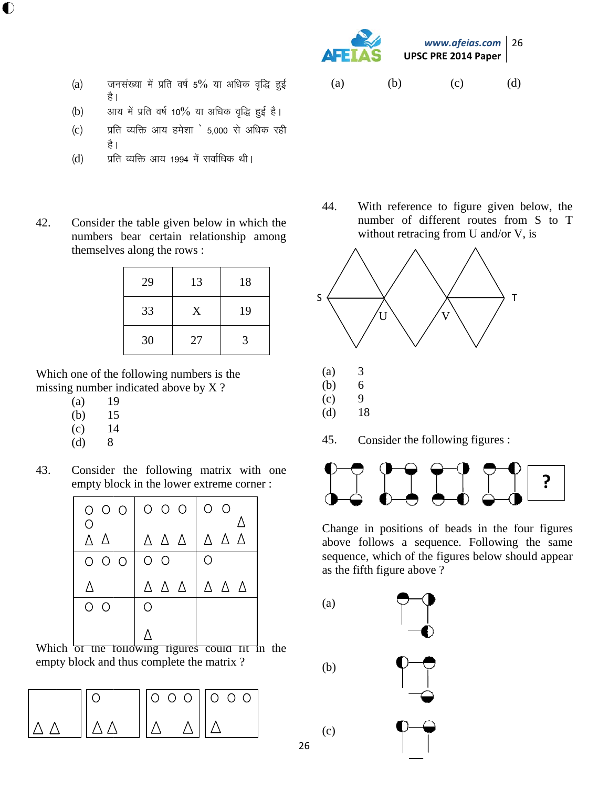

- $(a)$ है । जनसंख्या में प्रति वर्ष 5 $\%$  या अधिक वृद्धि हुई ई<br>री
- $(b)$ आय में प्रति वर्ष 10% या अधिक वृद्धि हुई है।
- $(c)$ है । ति व्यक्ति आय हमेशा ` 5,000 से अधिक रही
- $(d)$ ति व्यक्ति आय 1994 में सर्वाधिक थी।
- 42. Consider the table given below in which the numbers bear certain relationship among themselves along the rows :

| 29 | 13 | 18 |
|----|----|----|
| 33 | X  | 19 |
| 30 | 27 | 3  |

Which one of the following numbers is the missing number indicated above by  $X$  ?

> $(a)$ 9

 $\bullet$ 

- (b) 1 5
- $(c)$  14
- (d) 8
- 43. (c) 14<br>
(d) 8<br>
Consider the following matrix with one empty block in the lower extreme corner :

|             | 00000000000                                  |     |
|-------------|----------------------------------------------|-----|
| ΔΔ          | $\Delta \Delta \Delta  \Delta \Delta \Delta$ |     |
| $O$ $O$ $O$ | $O$ $O$                                      |     |
|             | $\Delta$ $\Delta$ $\Delta$                   | ΔΔΔ |
| $O$ $O$     |                                              |     |
|             |                                              |     |

Which of the following figures could fit in the empty block and thus complete the matrix?





44. With reference to figure given below, the number of different routes from S to T without retracing from  $U$  and/or  $V$ , is



45. Consider the following figures :



Change in positions of beads in the four figure above follows a sequence. Following the same above follows a sequence. Following the same sequence, which of the figures below should appear as the fifth figure above ?



26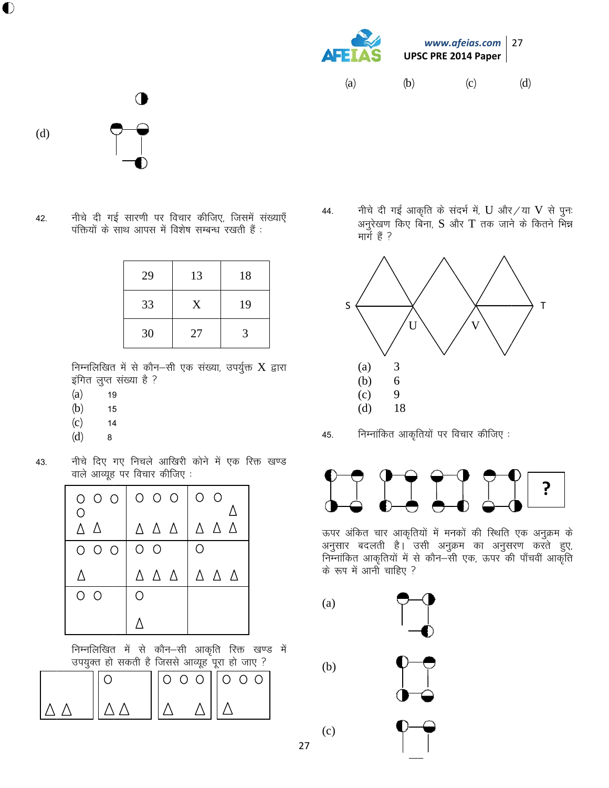

www.afeias.com 27 UPSC PRE 2014 Paper

 $(a)$  $(b)$  $(c)$  $(d)$ 



 $\bullet$ 

नीचे दी गई सारणी पर विचार कीजिए, जिसमें संख्याएँ 42. पंक्तियों के साथ आपस में विशेष सम्बन्ध रखती हैं :

| 29 | 13 | 18 |
|----|----|----|
| 33 | X  | 19 |
| 30 | 27 | 3  |

निम्नलिखित में से कौन-सी एक संख्या, उपर्युक्त  $X$  द्वारा इंगित लूप्त संख्या है ?

- $(a)$ 19
- $(b)$ 15
- $(c)$  $14$
- $(d)$  $\,8\,$

नीचे दिए गए निचले आखिरी कोने में एक रिक्त खण्ड 43. वाले आव्यूह पर विचार कीजिए:

|                                                        | $0 0 0 0 0 0 0 0 0 0$      |     |
|--------------------------------------------------------|----------------------------|-----|
| ΔΔ                                                     | $\Delta$ $\Delta$ $\Delta$ | ΔΔΔ |
| $\begin{array}{ccc} \circ & \circ & \circ \end{array}$ | $O$ $O$                    | Ω   |
|                                                        | ΔΔΔ<br>$\perp$             | ΔΔΔ |
| $O$ $O$                                                |                            |     |
|                                                        |                            |     |

निम्नलिखित में से कौन-सी आकृति रिक्त खण्ड में उपयुक्त हो सकती है जिससे आव्यूह पूरा हो जाए ?

नीचे दी गई आकृति के संदर्भ में, U और / या V से पुनः 44. अनुरेखण किए बिना, S और T तक जाने के कितने भिन्न मार्ग है ?



निम्नांकित आकृतियों पर विचार कीजिए: 45.



ऊपर अंकित चार आकृतियों में मनकों की स्थिति एक अनुक्रम के अनुसार बदलती है। उसी अनुक्रम का अनुसरण करते हुए, निम्नांकित आकृतियों में से कौन–सी एक, ऊपर की पाँचवीं आकृति के रूप में आनी चाहिए ?



27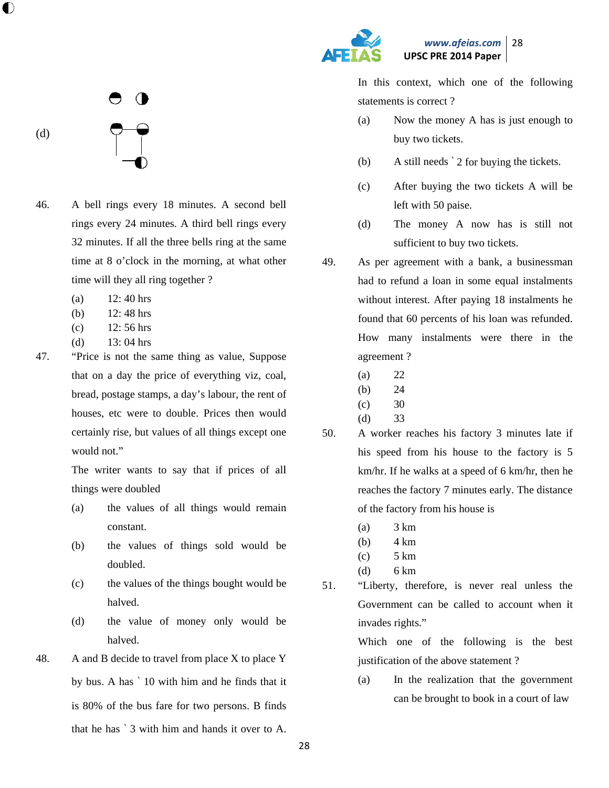

In this context, which one of the following statements is correct?

- $(a)$ buy two tickets. Now the mon ey A has is j ust enough to ng<br>to<br>oe
- $(b)$ A still needs ` 2 for buying the tickets.
- $(c)$ left with 50 paise. After buying the two tickets A will be
- $(d)$ sufficient to buy two tickets. The money A now has is still no
- 49. As per agreement with a bank, a businessman As per agreement with a bank, a businessman<br>had to refund a loan in some equal instalments without interest. After paying 18 instalments he without interest. After paying 18 instalments he<br>found that 60 percents of his loan was refunded. How many instalments were there in the agreement? eel<br>if
	- $(a)$ 22
	- $(b)$ 24
	- $(c)$ 30
	- $(d)$ 33
- 50. A worker reaches his factory 3 minutes late i his speed from his house to the factory is 5 km/hr. If he walks at a speed of 6 km/hr, then he reaches the factory 7 minutes early. The distance of the factory from his house is eeee<br>eee
	- $(a)$ 3 km
	- $(b)$ 4 km
	- $(c)$ 5 km
	- $(d)$ 6 km
- 51. "Liberty, therefore, is never real unless the Government can be called to account when i invades r ights."

Which one of the following is the best justification of the above statement?

 $(a)$ can be brought to book in a court of law n the realization that the government



 $\bullet$ 

- 46. A bell rings every 18 minutes. A second bell rings every 24 minutes. A third bell rings every 32 minutes. If all the three bells ring at the same time at 8 o'clock in the morning, at what other time will they all ring together?
	- $(a)$  $12: 40$  hrs
	- $(b)$ 2: 48 hrs
	- $(c)$ 2: 56 hrs
	- $(d)$  $13:04$  hrs
- 47. "Price is not the same thing as value, Suppose that on a day the price of everything viz, coal, bread, postage stamps, a day's labour, the rent of houses, etc were to double. Prices then would certainly rise, but values of all things except one would not." ll yere, eel landeeee kritis.<br>Komment van deeeee kritis.

The writer wants to say that if prices of all things we re doubled

- $(a)$ constant. he values of all things would remain
- $(b)$ doubled. he values of things sold would be
- $(c)$ ha alved. he values of the things bought would be
- $(d)$ ha alved. he value of money only would be
- 48. A and B decide to travel from place X to place Y by bus. A has ` 10 with him and he finds that it is 80% of the bus fare for two persons. B finds that he ha as ` 3 with hi m and hands it over to A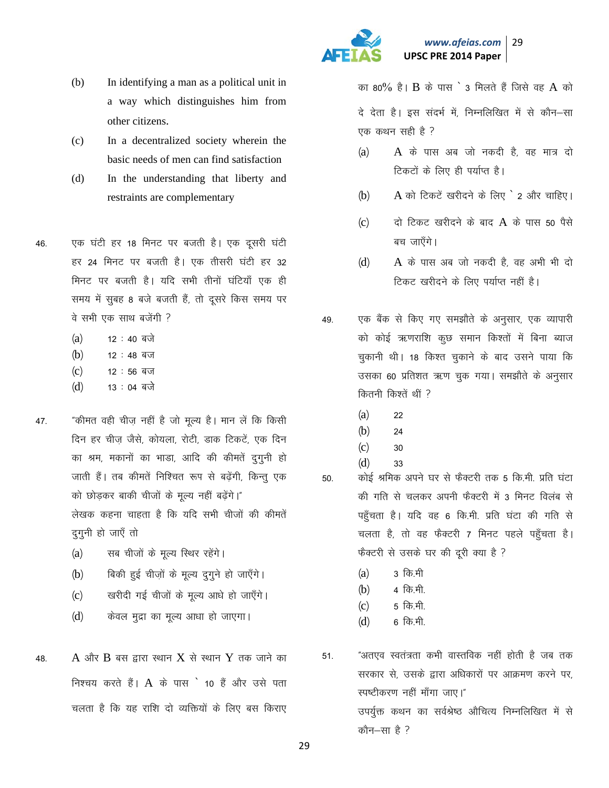

- (b) In identifying a man as a political unit in a way which distinguishes him from other citizens.
- (c) In a decentralized society wherein the basic needs of men can find satisfaction
- (d) In the understanding that liberty and restraints are complementary
- 46. एक घंटी हर 18 मिनट पर बजती है। एक दूसरी घंटी हर 24 मिनट पर बजती है। एक तीसरी घंटी हर 32 मिनट पर बजती है। यदि सभी तीनों घंटियाँ एक ही समय में सुबह 8 बजे बजती हैं, तो दूसरे किस समय पर वे सभी एक साथ बजेंगी ?
	- $(a)$  12 : 40 बजे
	- $(h)$  12 : 48 बज
	- $(c)$  12 : 56 बज
	- $(d)$  13:04 बजे
- 47. "कीमत वही चीज़ नहीं है जो मूल्य है। मान लें कि किसी दिन हर चीज़ जैसे, कोयला, रोटी, डाक टिकटें, एक दिन का श्रम, मकानों का भाडा, आदि की कीमतें दुगुनी हो जाती हैं। तब कीमतें निश्चित रूप से बढेंगी, किन्तु एक को छोडकर बाकी चीजों के मुल्य नहीं बढेंगे।" लेखक कहना चाहता है कि यदि सभी चीजों की कीमतें दगनी हो जाएँ तो
	- (a) सब चीजों के मूल्य स्थिर रहेंगे।
	- (b) बिकी हुई चीज़ों के मूल्य दुगुने हो जाएँगे।
	- (c) खरीदी गई चीजों के मूल्य आधे हो जाएँगे।
	- (d) केवल मुद्रा का मूल्य आधा हो जाएगा।
- 48. A और B बस द्वारा स्थान X से स्थान Y तक जाने का निश्चय करते हैं। A के पास ` 10 हैं और उसे पता चलता है कि यह राशि दो व्यक्तियों के लिए बस किराए

का 80% है।  $B$  के पास `3 मिलते हैं जिसे वह  $A$  को दे देता है। इस संदर्भ में, निम्नलिखित में से कौन–सा एक कथन सही है ?

- (a)  $\overrightarrow{A}$  के पास अब जो नकदी है, वह मात्र दो टिकटों के लिए ही पर्याप्त है।
- (b) A को टिकटें खरीदने के लिए `2 और चाहिए।
- $(c)$  and  $(c)$  and  $\overline{c}$  and  $\overline{c}$  and  $\overline{c}$  and  $\overline{d}$  and  $\overline{c}$  and  $\overline{d}$ बच जाएँगे।
- $(d)$  A के पास अब जो नकदी है, वह अभी भी दो टिकट खरीदने के लिए पर्याप्त नहीं है।
- 49. पिंक बैंक से किए गए समझौते के अनुसार, एक व्यापारी को कोई ऋणराशि कुछ समान किश्तों में बिना ब्याज चुकानी थी। 18 किश्त चुकाने के बाद उसने पाया कि उसका 60 प्रतिशत ऋण चुक गया। समझौते के अनुसार कितनी किश्तें थीं ?
	- $(a)$  22
	- $(b)$  24
	- $\langle c \rangle$  30
	- $(d)$  33
- 50. कोई श्रमिक अपने घर से फैक्टरी तक 5 कि.मी. प्रति घंटा की गति से चलकर अपनी फैक्टरी में 3 मिनट विलंब से पहुँचता है। यदि वह 6 कि.मी. प्रति घंटा की गति से चलता है, तो वह फैक्टरी 7 मिनट पहले पहुँचता है। फैक्टरी से उसके घर की दूरी क्या है ?
	- (a) 3 कि.मी
	- (b) 4 कि.मी.
	- (c) 5 कि.मी.
	- (d) 6 कि.मी.
- 51. "अंतएव स्वतंत्रता कभी वास्तविक नहीं होती है जब तक सरकार से, उसके द्वारा अधिकारों पर आक्रमण करने पर, स्पष्टीकरण नहीं माँगा जाए।" उपर्युक्त कथन का सर्वश्रेष्ठ औचित्य निम्नलिखित में से कौन $-\pi$ ा है ?

29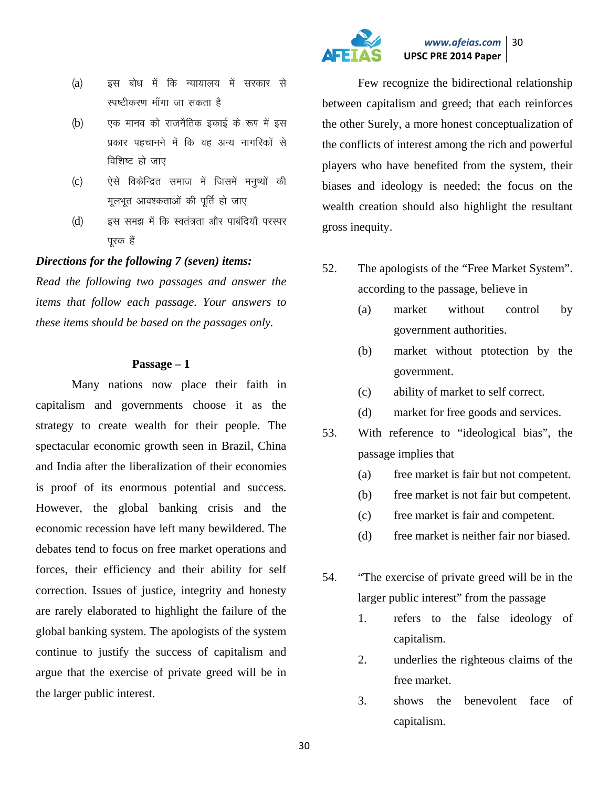

#### *www.afeias.com* **UPSC PRE 2014 Paper** 30

- (a) इस बोध में कि न्यायालय में सरकार से स्पष्टीकरण माँगा जा सकता है
- (b) एक मानव को राजनैतिक इकाई के रूप में इस प्रकार पहचानने में कि वह अन्य नागरिकों से विशिष्ट हो जाए
- (c) ऐसे विकेन्द्रित समाज में जिसमें मनुष्यों की मूलभूत आवश्कताओं की पूर्ति हो जाए
- (d) इस समझ में कि स्वतंत्रता और पाबंदियाँ परस्पर पूरक हैं

# *Directions for the following 7 (seven) items:*

*Read the following two passages and answer the items that follow each passage. Your answers to these items should be based on the passages only.* 

# **Passage – 1**

Many nations now place their faith in capitalism and governments choose it as the strategy to create wealth for their people. The spectacular economic growth seen in Brazil, China and India after the liberalization of their economies is proof of its enormous potential and success. However, the global banking crisis and the economic recession have left many bewildered. The debates tend to focus on free market operations and forces, their efficiency and their ability for self correction. Issues of justice, integrity and honesty are rarely elaborated to highlight the failure of the global banking system. The apologists of the system continue to justify the success of capitalism and argue that the exercise of private greed will be in the larger public interest.

Few recognize the bidirectional relationship between capitalism and greed; that each reinforces the other Surely, a more honest conceptualization of the conflicts of interest among the rich and powerful players who have benefited from the system, their biases and ideology is needed; the focus on the wealth creation should also highlight the resultant gross inequity.

- 52. The apologists of the "Free Market System". according to the passage, believe in
	- (a) market without control by government authorities.
	- (b) market without ptotection by the government.
	- (c) ability of market to self correct.
	- (d) market for free goods and services.
- 53. With reference to "ideological bias", the passage implies that
	- (a) free market is fair but not competent.
	- (b) free market is not fair but competent.
	- (c) free market is fair and competent.
	- (d) free market is neither fair nor biased.
- 54. "The exercise of private greed will be in the larger public interest" from the passage
	- 1. refers to the false ideology of capitalism.
	- 2. underlies the righteous claims of the free market.
	- 3. shows the benevolent face of capitalism.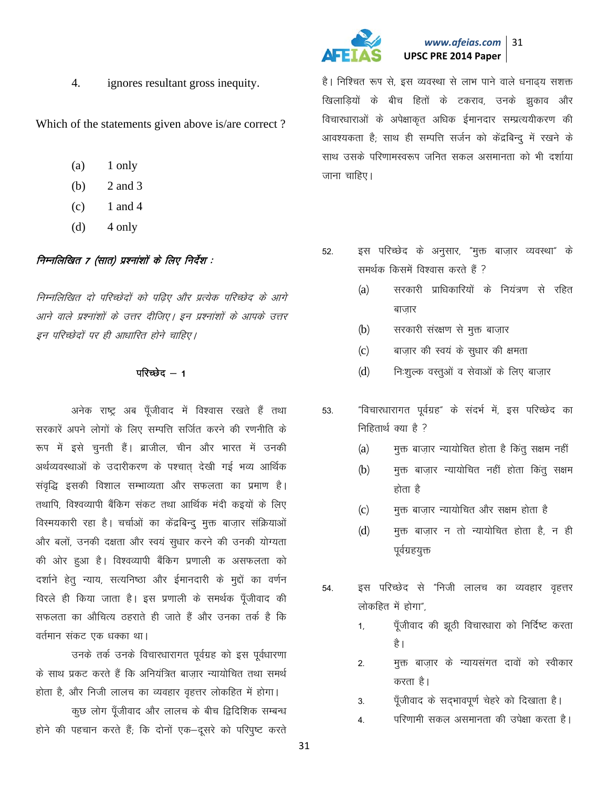

#### www.afeias.com  $|31$ **UPSC PRE 2014 Paper**

 $4.$ ignores resultant gross inequity.

Which of the statements given above is/are correct?

- $(a)$ 1 only
- 2 and 3  $(b)$
- 1 and 4  $(c)$
- 4 only  $(d)$

# निम्नलिखित 7 (सात) प्रश्नांशों के लिए निर्देश :

निम्नलिखित दो परिच्छेदों को पढिए और प्रत्येक परिच्छेद के आगे आने वाले प्रश्नांशों के उत्तर दीजिए। इन प्रश्नांशों के आपके उत्तर इन परिच्छेदों पर ही आधारित होने चाहिए।

# परिच्छेद $-1$

अनेक राष्ट्र अब पूँजीवाद में विश्वास रखते हैं तथा सरकारें अपने लोगों के लिए सम्पत्ति सर्जित करने की रणनीति के रूप में इसे चुनती हैं। ब्राजील, चीन और भारत में उनकी अर्थव्यवस्थाओं के उदारीकरण के पश्चात् देखी गई भव्य आर्थिक संवृद्धि इसकी विशाल सम्भाव्यता और सफलता का प्रमाण है। तथापि, विश्वव्यापी बैंकिग संकट तथा आर्थिक मंदी कइयों के लिए विस्मयकारी रहा है। चर्चाओं का केंद्रबिन्दू मुक्त बाज़ार संक्रियाओं और बलों, उनकी दक्षता और स्वयं सूधार करने की उनकी योग्यता की ओर हुआ है। विश्वव्यापी बैंकिंग प्रणाली क असफलता को दर्शाने हेतु न्याय, सत्यनिष्ठा और ईमानदारी के मुद्दों का वर्णन विरले ही किया जाता है। इस प्रणाली के समर्थक पूँजीवाद की सफलता का औचित्य ठहराते ही जाते हैं और उनका तर्क है कि वर्तमान संकट एक धक्का था।

उनके तर्क उनके विचारधारागत पूर्वग्रह को इस पूर्वधारणा के साथ प्रकट करते हैं कि अनियंत्रित बाजार न्यायोचित तथा समर्थ होता है, और निजी लालच का व्यवहार वृहत्तर लोकहित में होगा।

कुछ लोग पूँजीवाद और लालच के बीच द्विदिशिक सम्बन्ध होने की पहचान करते हैं; कि दोनों एक-दूसरे को परिपुष्ट करते

है। निश्चित रूप से, इस व्यवस्था से लाभ पाने वाले धनाढ़य सशक्त खिलाड़ियों के बीच हितों के टकराव, उनके झुकाव और विचारधाराओं के अपेक्षाकृत अधिक ईमानदार सम्प्रत्ययीकरण की आवश्यकता है; साथ ही सम्पत्ति सर्जन को केंद्रबिन्दु में रखने के साथ उसके परिणामस्वरूप जनित सकल असमानता को भी दर्शाया जाना चाहिए।

- इस परिच्छेद के अनुसार, "मुक्त बाज़ार व्यवस्था" के 52. समर्थक किसमें विश्वास करते हैं ?
	- सरकारी प्राधिकारियों के नियंत्रण से रहित  $(a)$ बाजार
	- सरकारी संरक्षण से मुक्त बाज़ार  $(b)$
	- $(c)$ बाज़ार की स्वयं के सुधार की क्षमता
	- $(d)$ निःशुल्क वस्तुओं व सेवाओं के लिए बाजार
- "विचारधारागत पूर्वग्रह" के संदर्भ में, इस परिच्छेद का 53. निहितार्थ क्या है ?
	- मुक्त बाजार न्यायोचित होता है किंतु सक्षम नहीं  $(a)$
	- $(b)$ मुक्त बाज़ार न्यायोचित नहीं होता किंतु सक्षम होता है
	- मुक्त बाजार न्यायोचित और सक्षम होता है  $(c)$
	- $(d)$ मुक्त बाज़ार न तो न्यायोचित होता है, न ही पूर्वग्रहयुक्त
- इस परिच्छेद से "निजी लालच का व्यवहार वृहत्तर 54. लोकहित में होगा",
	- पूँजीवाद की झूठी विचारधारा को निर्दिष्ट करता  $\mathbf{1}$ . है ।
	- मुक्त बाजार के न्यायसंगत दावों को स्वीकार  $2.$ करता है।
	- पूँजीवाद के सद्भावपूर्ण चेहरे को दिखाता है। 3.
	- परिणामी सकल असमानता की उपेक्षा करता है।  $\overline{4}$ .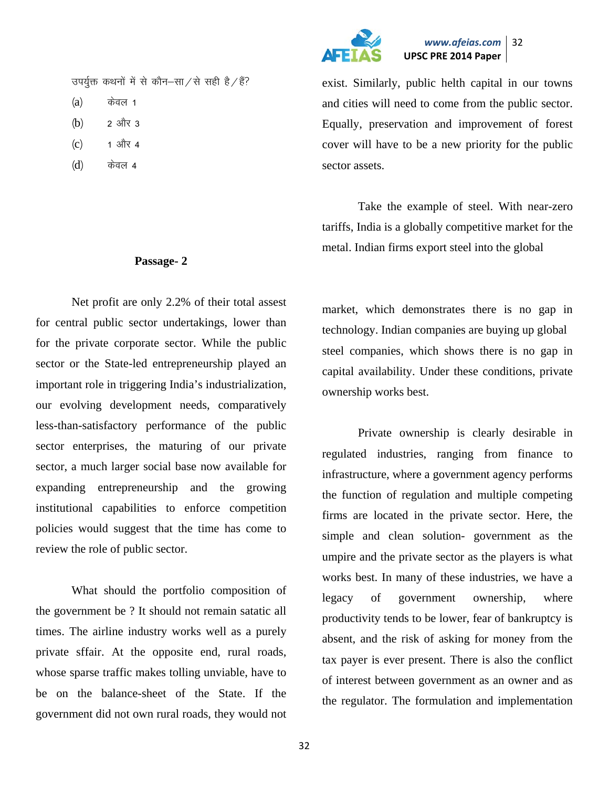

#### *www.afeias.com* 32 **UPSC PRE 2014 Paper**

उपर्युक्त कथनों में से कौन-सा $\overline{z}$ से सही है $\overline{z}$ ?

- $(a)$  केवल 1
- $(b)$  2 और 3
- $(c)$  1 और 4
- $(d)$  केवल 4

#### **Passage- 2**

Net profit are only 2.2% of their total assest for central public sector undertakings, lower than for the private corporate sector. While the public sector or the State-led entrepreneurship played an important role in triggering India's industrialization, our evolving development needs, comparatively less-than-satisfactory performance of the public sector enterprises, the maturing of our private sector, a much larger social base now available for expanding entrepreneurship and the growing institutional capabilities to enforce competition policies would suggest that the time has come to review the role of public sector.

What should the portfolio composition of the government be ? It should not remain satatic all times. The airline industry works well as a purely private sffair. At the opposite end, rural roads, whose sparse traffic makes tolling unviable, have to be on the balance-sheet of the State. If the government did not own rural roads, they would not exist. Similarly, public helth capital in our towns and cities will need to come from the public sector. Equally, preservation and improvement of forest cover will have to be a new priority for the public sector assets.

Take the example of steel. With near-zero tariffs, India is a globally competitive market for the metal. Indian firms export steel into the global

market, which demonstrates there is no gap in technology. Indian companies are buying up global steel companies, which shows there is no gap in capital availability. Under these conditions, private ownership works best.

Private ownership is clearly desirable in regulated industries, ranging from finance to infrastructure, where a government agency performs the function of regulation and multiple competing firms are located in the private sector. Here, the simple and clean solution- government as the umpire and the private sector as the players is what works best. In many of these industries, we have a legacy of government ownership, where productivity tends to be lower, fear of bankruptcy is absent, and the risk of asking for money from the tax payer is ever present. There is also the conflict of interest between government as an owner and as the regulator. The formulation and implementation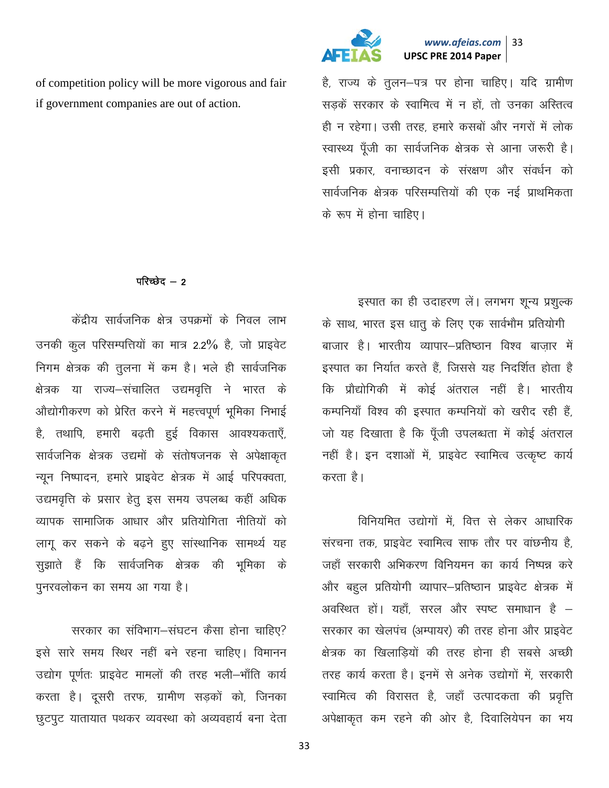of competition policy will be more vigorous and fair if government companies are out of action.



www.afeias.com 33 **UPSC PRE 2014 Paper** 

है, राज्य के तुलन-पत्र पर होना चाहिए। यदि ग्रामीण सडकें सरकार के स्वामित्व में न हों, तो उनका अस्तित्व ही न रहेगा। उसी तरह, हमारे कसबों और नगरों में लोक स्वास्थ्य पूँजी का सार्वजनिक क्षेत्रक से आना जरूरी है। इसी प्रकार, वनाच्छादन के संरक्षण और संवर्धन को सार्वजनिक क्षेत्रक परिसम्पत्तियों की एक नई प्राथमिकता के रूप में होना चाहिए।

#### परिच्छेद $-2$

केंद्रीय सार्वजनिक क्षेत्र उपक्रमों के निवल लाभ उनकी कुल परिसम्पत्तियों का मात्र 2.2% है, जो प्राइवेट निगम क्षेत्रक की तुलना में कम है। भले ही सार्वजनिक क्षेत्रक या राज्य–संचालित उद्यमवृत्ति ने भारत के औद्योगीकरण को प्रेरित करने में महत्त्वपूर्ण भूमिका निभाई है, तथापि, हमारी बढ़ती हुई विकास आवश्यकताएँ, सार्वजनिक क्षेत्रक उद्यमों के संतोषजनक से अपेक्षाकृत न्यून निष्पादन, हमारे प्राइवेट क्षेत्रक में आई परिपक्वता, उद्यमवृत्ति के प्रसार हेतू इस समय उपलब्ध कहीं अधिक व्यापक सामाजिक आधार और प्रतियोगिता नीतियों को लागू कर सकने के बढ़ने हुए सांस्थानिक सामर्थ्य यह सूझाते हैं कि सार्वजनिक क्षेत्रक की भूमिका के पुनरवलोकन का समय आ गया है।

सरकार का संविभाग-संघटन कैसा होना चाहिए? इसे सारे समय स्थिर नहीं बने रहना चाहिए। विमानन उद्योग पूर्णतः प्राइवेट मामलों की तरह भली-भाँति कार्य करता है। दूसरी तरफ, ग्रामीण सड़कों को, जिनका छूटपूट यातायात पथकर व्यवस्था को अव्यवहार्य बना देता इस्पात का ही उदाहरण लें। लगभग शून्य प्रशुल्क

के साथ, भारत इस धातू के लिए एक सार्वभौम प्रतियोगी बाजार है। भारतीय व्यापार–प्रतिष्ठान विश्व बाजार में इस्पात का निर्यात करते हैं. जिससे यह निदर्शित होता है कि प्रौद्योगिकी में कोई अंतराल नहीं है। भारतीय कम्पनियाँ विश्व की इस्पात कम्पनियों को खरीद रही हैं, जो यह दिखाता है कि पूँजी उपलब्धता में कोई अंतराल नहीं है। इन दशाओं में, प्राइवेट स्वामित्व उत्कृष्ट कार्य करता है।

विनियमित उद्योगों में, वित्त से लेकर आधारिक संरचना तक, प्राइवेट स्वामित्व साफ तौर पर वांछनीय है, जहाँ सरकारी अभिकरण विनियमन का कार्य निष्पन्न करे और बहुल प्रतियोगी व्यापार–प्रतिष्ठान प्राइवेट क्षेत्रक में अवस्थित हों। यहाँ, सरल और स्पष्ट समाधान है – सरकार का खेलपंच (अम्पायर) की तरह होना और प्राइवेट क्षेत्रक का खिलाडियों की तरह होना ही सबसे अच्छी तरह कार्य करता है। इनमें से अनेक उद्योगों में, सरकारी स्वामित्व की विरासत है, जहाँ उत्पादकता की प्रवृत्ति अपेक्षाकृत कम रहने की ओर है, दिवालियेपन का भय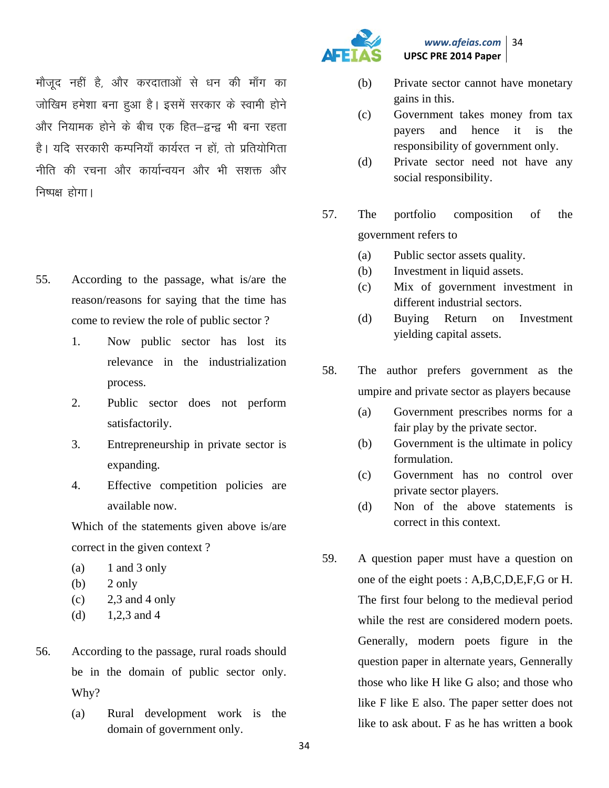

*www.afeias.com* 34 **UPSC PRE 2014 Paper**

- मौजूद नहीं है, और करदाताओं से धन की माँग का जोखिम हमेशा बना हुआ है। इसमें सरकार के स्वामी होने और नियामक होने के बीच एक हित–ट्वन्ट्व भी बना रहता है। यदि सरकारी कम्पनियाँ कार्यरत न हों, तो प्रतियोगिता नीति की रचना और कार्यान्वयन और भी सशक्त और निष्पक्ष होगा।
- 55. According to the passage, what is/are the reason/reasons for saying that the time has come to review the role of public sector ?
	- 1. Now public sector has lost its relevance in the industrialization process.
	- 2. Public sector does not perform satisfactorily.
	- 3. Entrepreneurship in private sector is expanding.
	- 4. Effective competition policies are available now.

Which of the statements given above is/are correct in the given context ?

- (a)  $1$  and 3 only
- $(b)$  2 only
- $(c)$  2,3 and 4 only
- (d) 1,2,3 and 4
- 56. According to the passage, rural roads should be in the domain of public sector only. Why?
	- (a) Rural development work is the domain of government only.
- (b) Private sector cannot have monetary gains in this.
- (c) Government takes money from tax payers and hence it is the responsibility of government only.
- (d) Private sector need not have any social responsibility.
- 57. The portfolio composition of the government refers to
	- (a) Public sector assets quality.
	- (b) Investment in liquid assets.
	- (c) Mix of government investment in different industrial sectors.
	- (d) Buying Return on Investment yielding capital assets.
- 58. The author prefers government as the umpire and private sector as players because
	- (a) Government prescribes norms for a fair play by the private sector.
	- (b) Government is the ultimate in policy formulation.
	- (c) Government has no control over private sector players.
	- (d) Non of the above statements is correct in this context.
- 59. A question paper must have a question on one of the eight poets : A,B,C,D,E,F,G or H. The first four belong to the medieval period while the rest are considered modern poets. Generally, modern poets figure in the question paper in alternate years, Gennerally those who like H like G also; and those who like F like E also. The paper setter does not like to ask about. F as he has written a book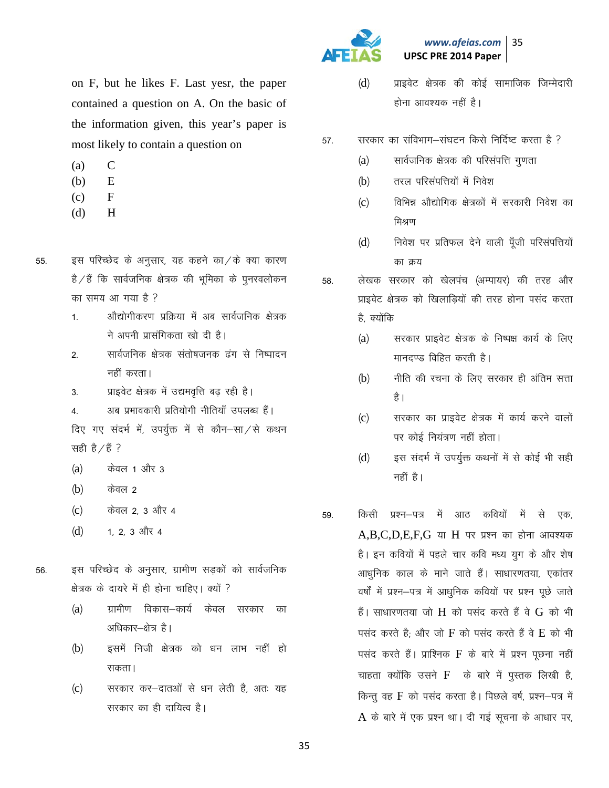

*www.afeias.com* 35 **UPSC PRE 2014 Paper**

- on F, but he likes F. Last yesr, the paper contained a question on A. On the basic of the information given, this year's paper is most likely to contain a question on
- $(a)$  C
- (b) E
- $(c)$  F
- (d) H
- 55. इस परिच्छेद के अनुसार, यह कहने का/के क्या कारण है $\sqrt{6}$  कि सार्वजनिक क्षेत्रक की भूमिका के पुनरवलोकन का समय आ गया है ?
	- 1. औद्योगीकरण प्रक्रिया में अब सार्वजनिक क्षेत्रक ने अपनी प्रासंगिकता खो दी है।
	- 2. सार्वजनिक क्षेत्रक संतोषजनक ढंग से निष्पादन नहीं करता।
	- 3. प्राइवेट क्षेत्रक में उद्यमवृत्ति बढ रही है।
	- 4. अब प्रभावकारी प्रतियोगी नीतियाँ उपलब्ध हैं।

दिए गए संदर्भ में, उपर्युक्त में से कौन-सा/से कथन सही है $/$ हैं ?

- $(a)$  केवल 1 और 3
- $(b)$  केवल 2
- (c) केवल 2, 3 और 4
- $(d)$  1, 2, 3 और 4
- 56. हस परिच्छेद के अनुसार, ग्रामीण सड़कों को सार्वजनिक क्षेत्रक के दायरे में ही होना चाहिए। क्यों ?
	- (a) ग्रामीण विकास-कार्य केवल सरकार का अधिकार—क्षेत्र है।
	- (b) इसमें निजी क्षेत्रक को धन लाभ नहीं हो सकता।
	- $(c)$  सरकार कर-दातओं से धन लेती है, अतः यह सरकार का ही दायित्व है।
- (d) प्राइवेट क्षेत्रक की कोई सामाजिक जिम्मेदारी होना आवश्यक नहीं है।
- 57. सरकार का संविभाग-संघटन किसे निर्दिष्ट करता है ?
	- (a) सार्वजनिक क्षेत्रक की परिसंपत्ति गुणता
	- (b) तरल परिसंपत्तियों में निवेश
	- (c) विभिन्न औद्योगिक क्षेत्रकों में सरकारी निवेश का मिश्रण
	- (d) निवेश पर प्रतिफल देने वाली पूँजी परिसंपत्तियों का क्रय
- 58. लेखक सरकार को खेलपंच (अम्पायर) की तरह और प्राइवेट क्षेत्रक को खिलाडियों की तरह होना पसंद करता है, क्योंकि
	- (a) सरकार प्राइवेट क्षेत्रक के निष्पक्ष कार्य के लिए मानदण्ड विहित करती है।
	- $(b)$  नीति की रचना के लिए सरकार ही अंतिम सत्ता है ।
	- $(c)$  सरकार का प्राइवेट क्षेत्रक में कार्य करने वालों पर कोई नियंत्रण नहीं होता।
	- (d) इस संदर्भ में उपर्युक्त कथनों में से कोई भी सही नहीं है।
- 59. किसी प्रश्न–पत्र में आठ कवियों में से एक,  $A, B, C, D, E, F, G$  या  $H$  पर प्रश्न का होना आवश्यक है। इन कवियों में पहले चार कवि मध्य युग के और शेष आधुनिक काल के माने जाते हैं। साधारणतया, एकांतर वर्षों में प्रश्न–पत्र में आधुनिक कवियों पर प्रश्न पुछे जाते हैं। साधारणतया जो  $H$  को पसंद करते हैं वे  $G$  को भी पसंद करते है: और जो F को पसंद करते हैं वे E को भी पसंद करते हैं। प्राश्निक  $F$  के बारे में प्रश्न पूछना नहीं चाहता क्योंकि उसने  $F$  के बारे में पुस्तक लिखी है, किन्तु वह F को पसंद करता है। पिछले वर्ष, प्रश्न-पत्र में  $A$  के बारे में एक प्रश्न था। दी गई सूचना के आधार पर,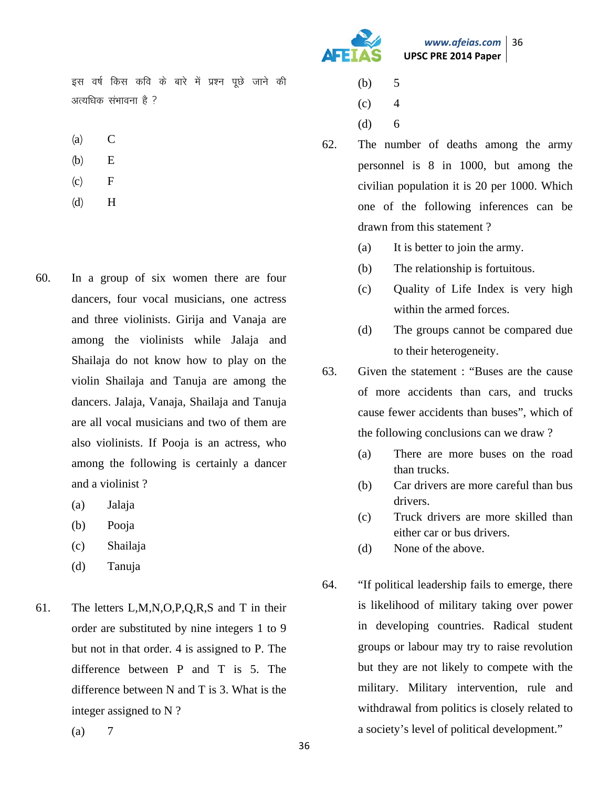

*www.afeias.com* **UPSC PRE 2014 Paper** 36

इस वर्ष किस कवि के बारे में प्रश्न पूछे जाने की अत्यधिक संभावना है ?

- $(a)$  C
- $(b)$  E
- $(c)$  F
- $(d)$  H
- 60. In a group of six women there are four dancers, four vocal musicians, one actress and three violinists. Girija and Vanaja are among the violinists while Jalaja and Shailaja do not know how to play on the violin Shailaja and Tanuja are among the dancers. Jalaja, Vanaja, Shailaja and Tanuja are all vocal musicians and two of them are also violinists. If Pooja is an actress, who among the following is certainly a dancer and a violinist ?
	- (a) Jalaja
	- (b) Pooja
	- (c) Shailaja
	- (d) Tanuja
- 61. The letters L,M,N,O,P,Q,R,S and T in their order are substituted by nine integers 1 to 9 but not in that order. 4 is assigned to P. The difference between P and T is 5. The difference between N and T is 3. What is the integer assigned to N ?
- (b) 5
- $(c) 4$
- (d) 6
- 62. The number of deaths among the army personnel is 8 in 1000, but among the civilian population it is 20 per 1000. Which one of the following inferences can be drawn from this statement ?
	- (a) It is better to join the army.
	- (b) The relationship is fortuitous.
	- (c) Quality of Life Index is very high within the armed forces.
	- (d) The groups cannot be compared due to their heterogeneity.
- 63. Given the statement : "Buses are the cause of more accidents than cars, and trucks cause fewer accidents than buses", which of the following conclusions can we draw ?
	- (a) There are more buses on the road than trucks.
	- (b) Car drivers are more careful than bus drivers.
	- (c) Truck drivers are more skilled than either car or bus drivers.
	- (d) None of the above.
- 64. "If political leadership fails to emerge, there is likelihood of military taking over power in developing countries. Radical student groups or labour may try to raise revolution but they are not likely to compete with the military. Military intervention, rule and withdrawal from politics is closely related to a society's level of political development."

 $(a)$  7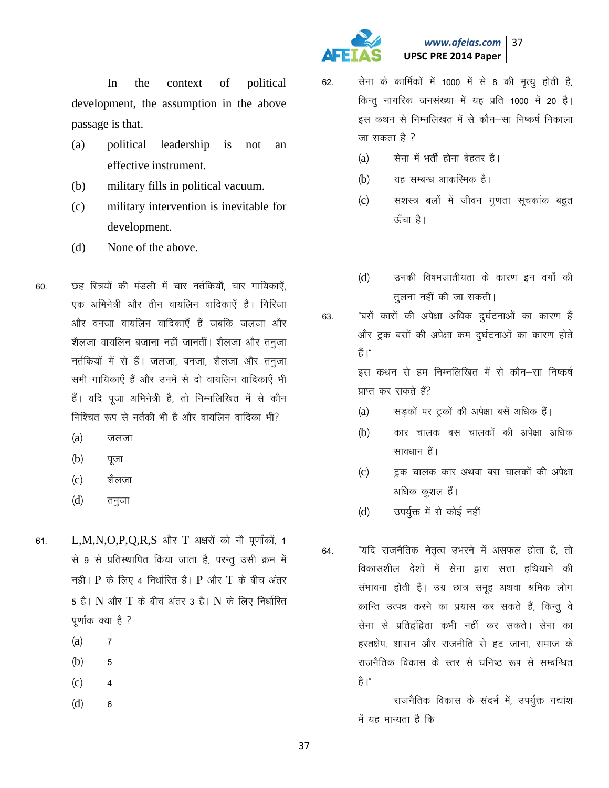

#### *www.afeias.com* 37 **UPSC PRE 2014 Paper**

In the context of political development, the assumption in the above passage is that.

- (a) political leadership is not an effective instrument.
- (b) military fills in political vacuum.
- (c) military intervention is inevitable for development.
- (d) None of the above.
- 60. प्छंह स्त्रियों की मंडली में चार नर्तकियाँ, चार गायिकाएँ, एक अभिनेत्री और तीन वायलिन वादिकाएँ है। गिरिजा ओर वनजा वायलिन वादिकाएँ हैं जबकि जलजा और शैलजा वायलिन बजाना नहीं जानतीं। शैलजा और तनुजा नर्तकियों में से हैं। जलजा, वनजा, शैलजा और तनुजा सभी गायिकाएँ हैं और उनमें से दो वायलिन वादिकाएँ भी हैं। यदि पूजा अभिनेत्री है, तो निम्नलिखित में से कौन निश्चित रूप से नर्तकी भी है और वायलिन वादिका भी?
	- $(a)$  जलजा
	- $(b)$  पूजा
	- $(c)$  शैलजा
	- $(d)$  तनुजा
- 61. L,M,N,O,P,Q,R,S और T अक्षरों को नौ पूर्णांकों, 1 से 9 से प्रतिस्थापित किया जाता है, परन्तु उसी क्रम में नही |  $P$  के लिए 4 निर्धारित है |  $P$  और  $T$  के बीच अंतर 5 है। N और T के बीच अंतर 3 है। N के लिए निर्धारित पूर्णाक क्या है ?
	- $(a)$  7
	- $(b)$  5
	- $(c)$  4
	- $(d)$  6
- 62. सेना के कार्मिकों में 1000 में से 8 की मृत्यू होती है, किन्तु नागरिक जनसंख्या में यह प्रति 1000 में 20 है। इस कथन से निम्नलिखत में से कौन–सा निष्कर्ष निकाला जा सकता है  $\frac{3}{2}$ 
	- (a) सेना में भर्ती होना बेहतर है।
	- $(b)$  यह सम्बन्ध आकरिमक है।
	- (c) सशस्त्र बलों में जीवन गुणता सूचकांक बहुत ऊँचा है।
	- (d) उनकी विषमजातीयता के कारण इन वर्गों की तूलना नहीं की जा सकती।
- 63. "बसें कारों की अपेक्षा अधिक दुर्घटनाओं का कारण हैं ओर ट्रक बसों की अपेक्षा कम दुर्घटनाओं का कारण होते हैं ।"

इस कथन से हम निम्नलिखित में से कौन–सा निष्कर्ष प्राप्त कर सकते हैं?

- (a) सड़कों पर ट्रकों की अपेक्षा बसें अधिक हैं।
- $(b)$  कार चालक बस चालकों की अपेक्षा अधिक सावधान हैं।
- $(c)$  ट्रक चालक कार अथवा बस चालकों की अपेक्षा अधिक कुशल है।
- (d) उपर्युक्त में से कोई नहीं
- 64. "यदि राजनैतिक नेतृत्व उभरने में असफल होता है, तो विकासशील देशों में सेना द्वारा सत्ता हथियाने की संभावना होती है। उग्र छात्र समूह अथवा श्रमिक लोग क्रान्ति उत्पन्न करने का प्रयास कर सकते हैं, किन्तु वे सेना से प्रतिद्वंद्विता कभी नहीं कर सकते। सेना का हस्तक्षेप, शासन और राजनीति से हट जाना, समाज के राजनैतिक विकास के स्तर से घनिष्ठ रूप से सम्बन्धित है ।"

राजनैतिक विकास के संदर्भ में, उपर्युक्त गद्यांश में यह मान्यता है कि

37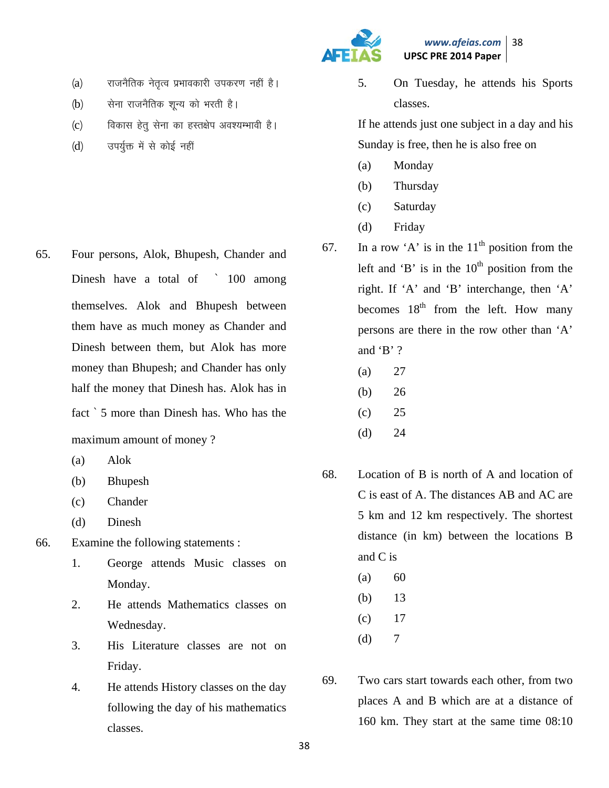

- (a) राजनैतिक नेतृत्व प्रभावकारी उपकरण नहीं है।
- (b) सेना राजनैतिक शून्य को भरती है।
- $(c)$  विकास हेतू सेना का हस्तक्षेप अवश्यम्भावी है।
- (d) उपर्युक्त में से कोई नहीं

- 65. Four persons, Alok, Bhupesh, Chander and Dinesh have a total of ` 100 among themselves. Alok and Bhupesh between them have as much money as Chander and Dinesh between them, but Alok has more money than Bhupesh; and Chander has only half the money that Dinesh has. Alok has in fact ` 5 more than Dinesh has. Who has the maximum amount of money ?
	- (a) Alok
	- (b) Bhupesh
	- (c) Chander
	- (d) Dinesh
- 66. Examine the following statements :
	- 1. George attends Music classes on Monday.
	- 2. He attends Mathematics classes on Wednesday.
	- 3. His Literature classes are not on Friday.
	- 4. He attends History classes on the day following the day of his mathematics classes.

5. On Tuesday, he attends his Sports classes.

If he attends just one subject in a day and his Sunday is free, then he is also free on

- (a) Monday
- (b) Thursday
- (c) Saturday
- (d) Friday
- 67. In a row 'A' is in the  $11<sup>th</sup>$  position from the left and 'B' is in the  $10<sup>th</sup>$  position from the right. If 'A' and 'B' interchange, then 'A' becomes  $18<sup>th</sup>$  from the left. How many persons are there in the row other than 'A' and 'B' ?
	- (a) 27
	- $(b)$  26
	- (c) 25
	- $(d)$  24
- 68. Location of B is north of A and location of C is east of A. The distances AB and AC are 5 km and 12 km respectively. The shortest distance (in km) between the locations B and C is
	- $(a) 60$
	- (b) 13
	- $(c)$  17
	- (d) 7
- 69. Two cars start towards each other, from two places A and B which are at a distance of 160 km. They start at the same time 08:10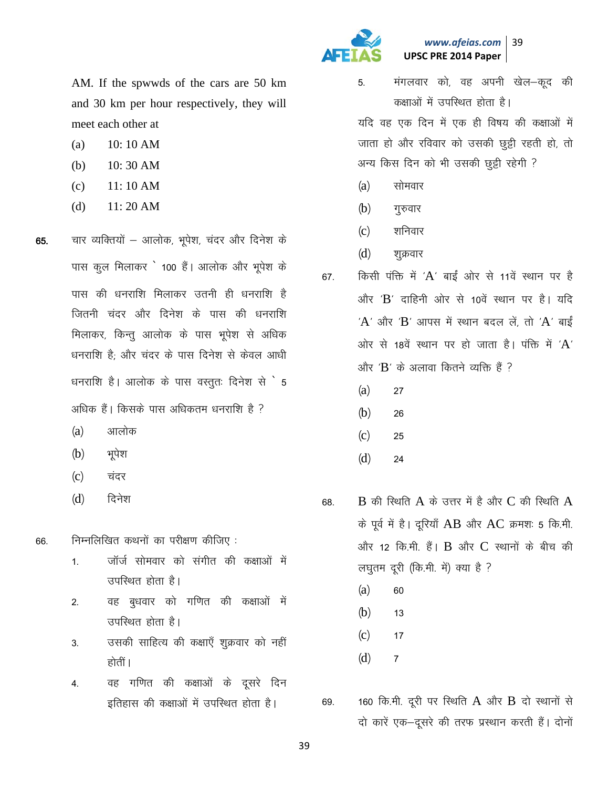

*www.afeias.com* 39 **UPSC PRE 2014 Paper**

AM. If the spwwds of the cars are 50 km and 30 km per hour respectively, they will meet each other at

- (a) 10: 10 AM
- (b) 10: 30 AM
- (c) 11: 10 AM
- (d) 11: 20 AM
- 65. वार व्यक्तियों आलोक, भूपेश, चंदर और दिनेश के पास कुल मिलाकर ` 100 हैं। आलोक और भूपेश के पास की धनराशि मिलाकर उतनी ही धनराशि है जितनी चंदर और दिनेश के पास की धनराशि मिलाकर, किन्तु आलोक के पास भूपेश से अधिक धनराशि है; और चंदर के पास दिनेश से केवल आधी धनराशि है। आलोक के पास वस्तुतः दिनेश से  $\,$ े 5 अधिक हैं। किसके पास अधिकतम धनराशि है ?
	- $(a)$  आलोक
	- $(b)$  भूपेश
	- (c) चंदर
	- (d) दिनेश

 $66.$  निम्नलिखित कथनों का परीक्षण कीजिए:

- 1. जॉर्ज सोमवार को संगीत की कक्षाओं में उपस्थित होता है।
- 2. वह बुधवार को गणित की कक्षाओं में उपस्थित होता है।
- 3. उसकी साहित्य की कक्षाएँ शुक्रवार को नहीं होतीं ।
- 4. वह गणित की कक्षाओं के दूसरे दिन इतिहास की कक्षाओं में उपस्थित होता है।

5. मंगलवार को, वह अपनी खेल-कूद की कक्षाओं में उपस्थित होता है।

यदि वह एक दिन में एक ही विषय की कक्षाओं में जाता हो और रविवार को उसकी छुट्टी रहती हो, तो अन्य किस दिन को भी उसकी छुट्टी रहेगी ?

- $(a)$  सोमवार
- (b) गुरुवार
- $(c)$  शनिवार
- (d) शुक्रवार
- 67. किसी पंक्ति में 'A<sup>'</sup> बाईं ओर से 11वें स्थान पर है और  $'B^{\prime}$  दाहिनी ओर से 10वें स्थान पर है। यदि  $^{\prime}$ A $^{\prime}$  और  $^{\prime}$ B $^{\prime}$  आपस में स्थान बदल लें. तो  $^{\prime}$ A $^{\prime}$  बाई ओर से 18वें स्थान पर हो जाता है। पंक्ति में 'A' और  $'B^{\prime}$  के अलावा कितने व्यक्ति हैं ?
	- $(a)$  27
	- $(b)$  26
	- $\zeta$  25
	- $(d)$  24
- $68$  B की स्थिति A के उत्तर में है और C की स्थिति A के पूर्व में है। दूरियाँ AB और AC क्रमशः 5 कि.मी. और 12 कि.मी. हैं।  $B$  और  $C$  स्थानों के बीच की लघुतम दूरी (कि.मी. में) क्या है ?
	- $(a)$  60
	- $(b)$  13
	- $(c)$  17
	- $(d)$  7
- 69. 160 कि.मी. दूरी पर स्थिति  $A$  और  $B$  दो स्थानों से दो कारें एक-दूसरे की तरफ प्रस्थान करती हैं। दोनों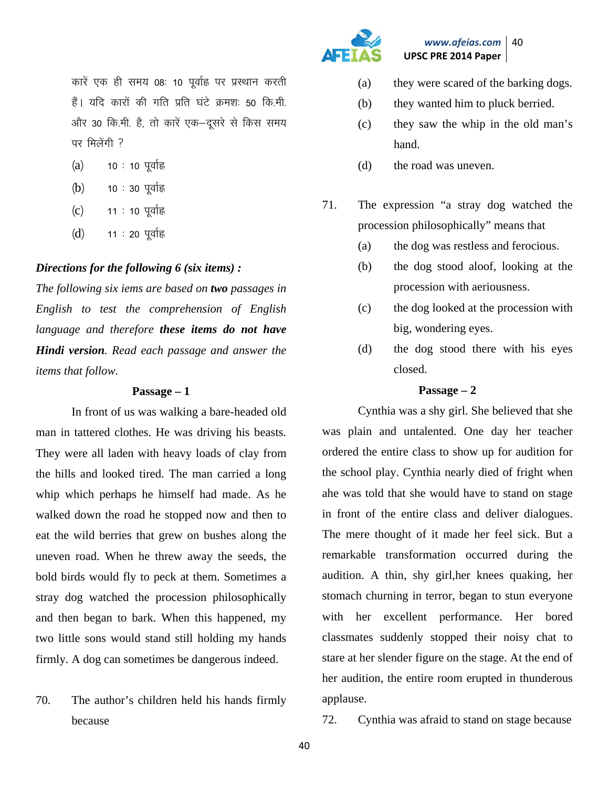

### *www.afeias.com* 40 **UPSC PRE 2014 Paper**

- कारें एक ही समय 08: 10 पूर्वाह्न पर प्रस्थान करती हैं। यदि कारों की गति प्रति घंटे क्रमशः 50 कि.मी. और 30 कि.मी. है, तो कारें एक-दूसरे से किस समय पर मिलेंगी ?
- (a) 10 : 10 पूर्वाह्न
- $(b)$  10 : 30 पूर्वाह्न
- $(c)$  11 : 10 पूर्वाह्न
- $(d)$  11 : 20 पूर्वाह्न

# *Directions for the following 6 (six items) :*

*The following six iems are based on two passages in English to test the comprehension of English language and therefore these items do not have Hindi version. Read each passage and answer the items that follow.* 

# **Passage – 1**

In front of us was walking a bare-headed old man in tattered clothes. He was driving his beasts. They were all laden with heavy loads of clay from the hills and looked tired. The man carried a long whip which perhaps he himself had made. As he walked down the road he stopped now and then to eat the wild berries that grew on bushes along the uneven road. When he threw away the seeds, the bold birds would fly to peck at them. Sometimes a stray dog watched the procession philosophically and then began to bark. When this happened, my two little sons would stand still holding my hands firmly. A dog can sometimes be dangerous indeed.

70. The author's children held his hands firmly because

- (a) they were scared of the barking dogs.
- (b) they wanted him to pluck berried.
- (c) they saw the whip in the old man's hand.
- (d) the road was uneven.
- 71. The expression "a stray dog watched the procession philosophically" means that
	- (a) the dog was restless and ferocious.
	- (b) the dog stood aloof, looking at the procession with aeriousness.
	- (c) the dog looked at the procession with big, wondering eyes.
	- (d) the dog stood there with his eyes closed.

# **Passage – 2**

Cynthia was a shy girl. She believed that she was plain and untalented. One day her teacher ordered the entire class to show up for audition for the school play. Cynthia nearly died of fright when ahe was told that she would have to stand on stage in front of the entire class and deliver dialogues. The mere thought of it made her feel sick. But a remarkable transformation occurred during the audition. A thin, shy girl,her knees quaking, her stomach churning in terror, began to stun everyone with her excellent performance. Her bored classmates suddenly stopped their noisy chat to stare at her slender figure on the stage. At the end of her audition, the entire room erupted in thunderous applause.

72. Cynthia was afraid to stand on stage because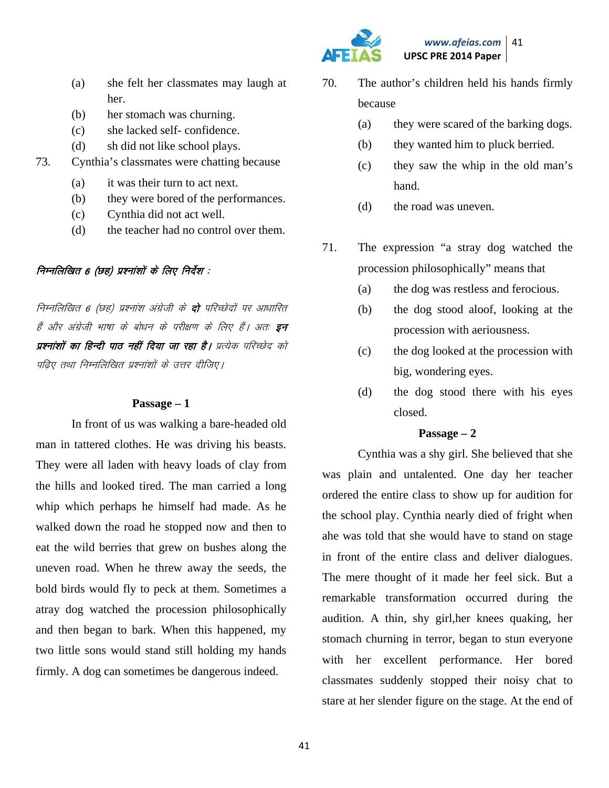

- (a) she felt her classmates may laugh at her.
- (b) her stomach was churning.
- (c) she lacked self- confidence.
- (d) sh did not like school plays.
- 73. Cynthia's classmates were chatting because
	- (a) it was their turn to act next.
	- (b) they were bored of the performances.
	- (c) Cynthia did not act well.
	- (d) the teacher had no control over them.

# निम्नलिखित 6 (छह) प्रश्नांशों के लिए निर्देश :

निम्नलिखित 6 (छह) प्रश्नांश अंग्रेजी के **दो** परिच्छेदों पर आधारित हैं और अंग्रेजी भाषा के बोधन के परीक्षण के लिए हैं। अतः **इन** प्रश्नांशों का हिन्दी पाठ नहीं दिया जा रहा है। प्रत्येक परिच्छेद को पढ़िए तथा निम्नलिखित प्रश्नांशों के उत्तर दीजिए।

#### **Passage – 1**

In front of us was walking a bare-headed old man in tattered clothes. He was driving his beasts. They were all laden with heavy loads of clay from the hills and looked tired. The man carried a long whip which perhaps he himself had made. As he walked down the road he stopped now and then to eat the wild berries that grew on bushes along the uneven road. When he threw away the seeds, the bold birds would fly to peck at them. Sometimes a atray dog watched the procession philosophically and then began to bark. When this happened, my two little sons would stand still holding my hands firmly. A dog can sometimes be dangerous indeed.

- 70. The author's children held his hands firmly because
	- (a) they were scared of the barking dogs.
	- (b) they wanted him to pluck berried.
	- (c) they saw the whip in the old man's hand.
	- (d) the road was uneven.
- 71. The expression "a stray dog watched the procession philosophically" means that
	- (a) the dog was restless and ferocious.
	- (b) the dog stood aloof, looking at the procession with aeriousness.
	- (c) the dog looked at the procession with big, wondering eyes.
	- (d) the dog stood there with his eyes closed.

### **Passage – 2**

Cynthia was a shy girl. She believed that she was plain and untalented. One day her teacher ordered the entire class to show up for audition for the school play. Cynthia nearly died of fright when ahe was told that she would have to stand on stage in front of the entire class and deliver dialogues. The mere thought of it made her feel sick. But a remarkable transformation occurred during the audition. A thin, shy girl,her knees quaking, her stomach churning in terror, began to stun everyone with her excellent performance. Her bored classmates suddenly stopped their noisy chat to stare at her slender figure on the stage. At the end of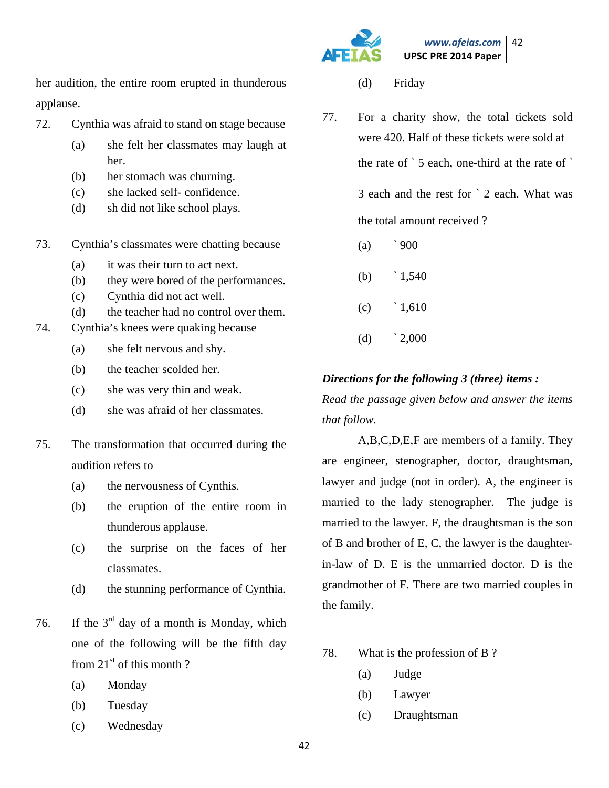

her audition, the entire room erupted in thunderous applause.

- 72. Cynthia was afraid to stand on stage because
	- (a) she felt her classmates may laugh at her.
	- (b) her stomach was churning.
	- (c) she lacked self- confidence.
	- (d) sh did not like school plays.
- 73. Cynthia's classmates were chatting because
	- (a) it was their turn to act next.
	- (b) they were bored of the performances.
	- (c) Cynthia did not act well.
	- (d) the teacher had no control over them.
- 74. Cynthia's knees were quaking because
	- (a) she felt nervous and shy.
	- (b) the teacher scolded her.
	- (c) she was very thin and weak.
	- (d) she was afraid of her classmates.
- 75. The transformation that occurred during the audition refers to
	- (a) the nervousness of Cynthis.
	- (b) the eruption of the entire room in thunderous applause.
	- (c) the surprise on the faces of her classmates.
	- (d) the stunning performance of Cynthia.
- 76. If the  $3<sup>rd</sup>$  day of a month is Monday, which one of the following will be the fifth day from  $21<sup>st</sup>$  of this month ?
	- (a) Monday
	- (b) Tuesday
	- (c) Wednesday
- (d) Friday
- 77. For a charity show, the total tickets sold were 420. Half of these tickets were sold at the rate of ` 5 each, one-third at the rate of ` 3 each and the rest for ` 2 each. What was the total amount received ?
	- (a)  $\binom{900}{ }$
	- (b)  $\qquad \qquad 1,540$
	- $(c)$  1,610
	- (d)  $\qquad 2,000$

# *Directions for the following 3 (three) items :*

*Read the passage given below and answer the items that follow.* 

A,B,C,D,E,F are members of a family. They are engineer, stenographer, doctor, draughtsman, lawyer and judge (not in order). A, the engineer is married to the lady stenographer. The judge is married to the lawyer. F, the draughtsman is the son of B and brother of E, C, the lawyer is the daughterin-law of D. E is the unmarried doctor. D is the grandmother of F. There are two married couples in the family.

- 78. What is the profession of B ?
	- (a) Judge
	- (b) Lawyer
	- (c) Draughtsman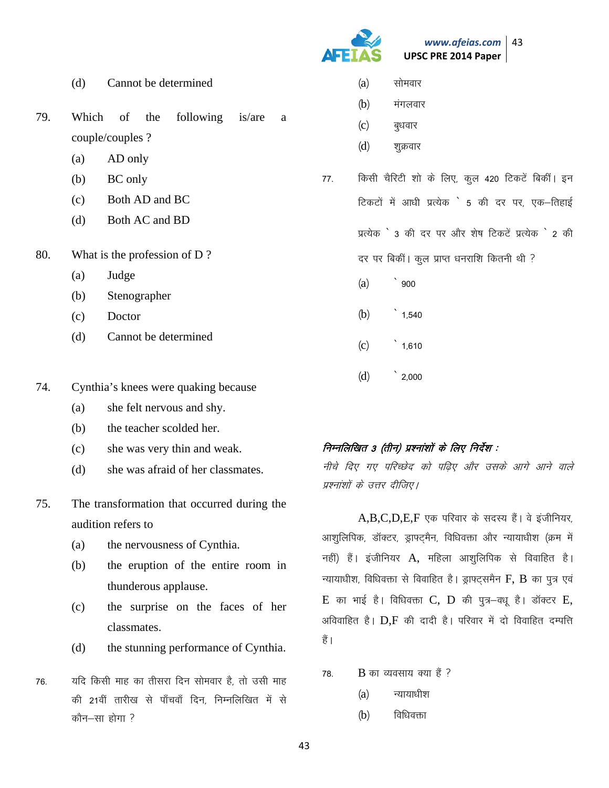

*www.afeias.com* 43 **UPSC PRE 2014 Paper**

- $(a)$  सोमवार
- $(b)$  मंगलवार
- $(c)$  बुधवार
- (d) शुक्रवार
- 77. किसी चैरिटी शो के लिए, कुल 420 टिकटें बिकीं। इन टिकटों में आधी प्रत्येक ` 5 की दर पर, एक-तिहाई प्रत्येक ` 3 की दर पर और शेष टिकटें प्रत्येक ` 2 की दर पर बिकीं। कूल प्राप्त धनराशि कितनी थी ?
	- $(a)$  900
	- $(b)$   $\qquad \qquad$  1.540
	- $(c)$   $\qquad \qquad$  1,610
	- $(d)$  2,000

# निम्नलिखित 3 (तीन) प्रश्नांशों के लिए निर्देश :

नीचे दिए गए परिच्छेद को पढिए और उसके आगे आने वाले प्रश्नांशों के उत्तर दीजिए।

 $A,B,C,D,E,F$  एक परिवार के सदस्य हैं। वे इंजीनियर, आशुलिपिक, डॉक्टर, ड्राफ्ट्मैन, विधिवक्ता और न्यायाधीश (क्रम में नहीं) हैं। इंजीनियर  $A$ , महिला आशुलिपिक से विवाहित है। न्यायाधीश, विधिवक्ता से विवाहित है। ड्राफ्ट्समैन  $F$ ,  $B$  का पुत्र एवं  $E$  का भाई है। विधिवक्ता C, D की पुत्र-वधू है। डॉक्टर E, अविवाहित है।  $\mathrm{D.F}$  की दादी है। परिवार में दो विवाहित दम्पत्ति हैं ।

- $78.$  B का व्यवसाय क्या है ?
	- $(a)$  न्यायाधीश
	- $(b)$  विधिवक्ता

|     | (d) |                    | Cannot be determined                        |   |
|-----|-----|--------------------|---------------------------------------------|---|
| 79. |     |                    | Which of the following is/are               | a |
|     |     | couple/couples ?   |                                             |   |
|     | (a) | AD only            |                                             |   |
|     | (b) | <b>BC</b> only     |                                             |   |
|     |     | (c) Both AD and BC |                                             |   |
|     | (d) | Both AC and BD     |                                             |   |
| 80. |     |                    | What is the profession of D?                |   |
|     | (a) | Judge              |                                             |   |
|     | (b) | Stenographer       |                                             |   |
|     | (c) | Doctor             |                                             |   |
|     |     |                    | (d) Cannot be determined                    |   |
| 74. |     |                    | Cynthia's knees were quaking because        |   |
|     | (a) |                    | she felt nervous and shy.                   |   |
|     | (b) |                    | the teacher scolded her.                    |   |
|     | (c) |                    | she was very thin and weak.                 |   |
|     | (d) |                    | she was afraid of her classmates.           |   |
| 75. |     |                    | The transformation that occurred during the |   |
|     |     | audition refers to |                                             |   |

- (a) the nervousness of Cynthia.
- (b) the eruption of the entire room in thunderous applause.
- (c) the surprise on the faces of her classmates.
- (d) the stunning performance of Cynthia.
- 76. यदि किसी माह का तीसरा दिन सोमवार है, तो उसी माह की 21वीं तारीख से पाँचवाँ दिन, निम्नलिखित में से कौन $-\pi$  होगा ?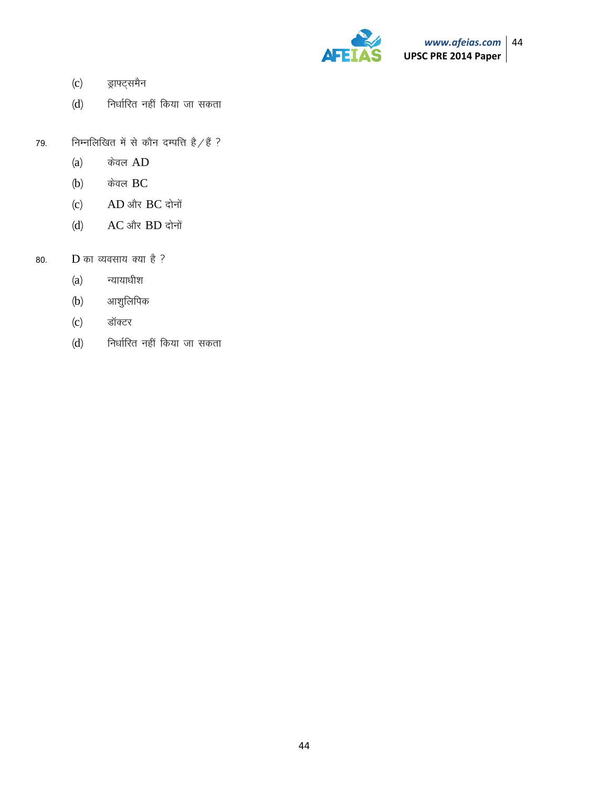

- (c) ड्राफ्ट्समैन
- (d) निर्धारित नहीं किया जा सकता
- $79.$  निम्नलिखित में से कौन दम्पत्ति है $\angle$ हैं ?
	- $(a)$  केवल  $AD$
	- (b) केवल  $BC$
	- (c)  $AD$  और  $BC$  दोनों
	- (d)  $AC$  और  $BD$  दोनों

# $80.$  D का व्यवसाय क्या है ?

- $(a)$  न्यायाधीश
- $(b)$  आशुलिपिक
- (c) डॉक्टर
- $(d)$  निर्धारित नहीं किया जा सकता